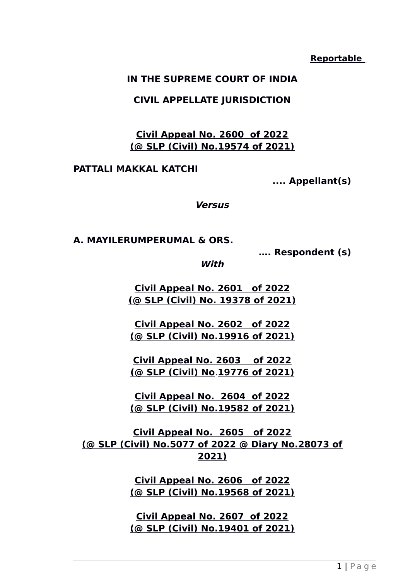#### **Reportable**

#### **IN THE SUPREME COURT OF INDIA**

#### **CIVIL APPELLATE JURISDICTION**

**Civil Appeal No. 2600 of 2022 (@ SLP (Civil) No.19574 of 2021)**

**PATTALI MAKKAL KATCHI**

**.... Appellant(s)**

**Versus**

**A. MAYILERUMPERUMAL & ORS.**

**…. Respondent (s)**

**With**

**Civil Appeal No. 2601 of 2022 (@ SLP (Civil) No. 19378 of 2021)**

**Civil Appeal No. 2602 of 2022 (@ SLP (Civil) No.19916 of 2021)**

**Civil Appeal No. 2603 of 2022 (@ SLP (Civil) No**.**19776 of 2021)**

**Civil Appeal No. 2604 of 2022 (@ SLP (Civil) No.19582 of 2021)**

**Civil Appeal No. 2605 of 2022 (@ SLP (Civil) No.5077 of 2022 @ Diary No.28073 of 2021)**

> **Civil Appeal No. 2606 of 2022 (@ SLP (Civil) No.19568 of 2021)**

> **Civil Appeal No. 2607 of 2022 (@ SLP (Civil) No.19401 of 2021)**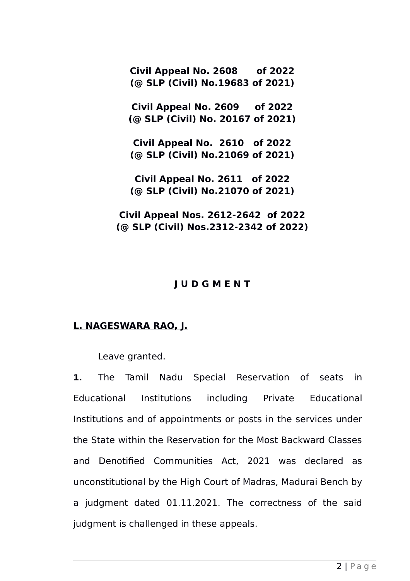**Civil Appeal No. 2608 of 2022 (@ SLP (Civil) No.19683 of 2021)**

**Civil Appeal No. 2609 of 2022 (@ SLP (Civil) No. 20167 of 2021)**

**Civil Appeal No. 2610 of 2022 (@ SLP (Civil) No.21069 of 2021)**

**Civil Appeal No. 2611 of 2022 (@ SLP (Civil) No.21070 of 2021)**

### **Civil Appeal Nos. 2612-2642 of 2022 (@ SLP (Civil) Nos.2312-2342 of 2022)**

### **J U D G M E N T**

### **L. NAGESWARA RAO, J.**

Leave granted.

**1.** The Tamil Nadu Special Reservation of seats in Educational Institutions including Private Educational Institutions and of appointments or posts in the services under the State within the Reservation for the Most Backward Classes and Denotified Communities Act, 2021 was declared as unconstitutional by the High Court of Madras, Madurai Bench by a judgment dated 01.11.2021. The correctness of the said judgment is challenged in these appeals.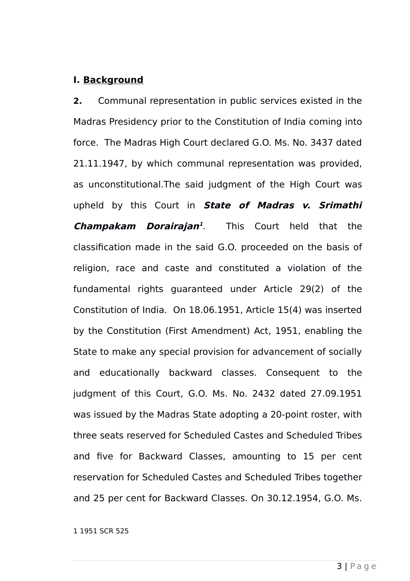#### **I. Background**

**2.** Communal representation in public services existed in the Madras Presidency prior to the Constitution of India coming into force. The Madras High Court declared G.O. Ms. No. 3437 dated 21.11.1947, by which communal representation was provided, as unconstitutional.The said judgment of the High Court was upheld by this Court in **State of Madras v. Srimathi Champakam Dorairajan [1](#page-2-0)** . This Court held that the classification made in the said G.O. proceeded on the basis of religion, race and caste and constituted a violation of the fundamental rights guaranteed under Article 29(2) of the Constitution of India. On 18.06.1951, Article 15(4) was inserted by the Constitution (First Amendment) Act, 1951, enabling the State to make any special provision for advancement of socially and educationally backward classes. Consequent to the judgment of this Court, G.O. Ms. No. 2432 dated 27.09.1951 was issued by the Madras State adopting a 20-point roster, with three seats reserved for Scheduled Castes and Scheduled Tribes and five for Backward Classes, amounting to 15 per cent reservation for Scheduled Castes and Scheduled Tribes together and 25 per cent for Backward Classes. On 30.12.1954, G.O. Ms.

<span id="page-2-0"></span>1 1951 SCR 525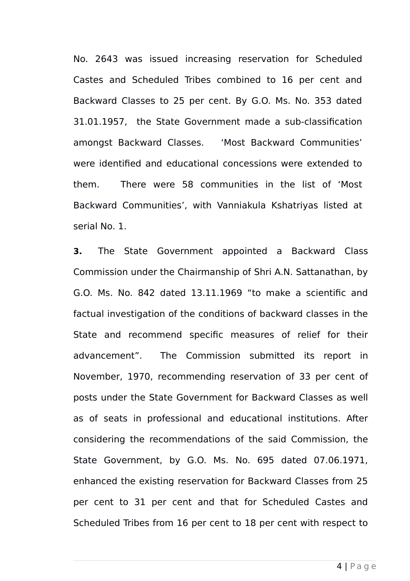No. 2643 was issued increasing reservation for Scheduled Castes and Scheduled Tribes combined to 16 per cent and Backward Classes to 25 per cent. By G.O. Ms. No. 353 dated 31.01.1957, the State Government made a sub-classification amongst Backward Classes. 'Most Backward Communities' were identified and educational concessions were extended to them. There were 58 communities in the list of 'Most Backward Communities', with Vanniakula Kshatriyas listed at serial No. 1.

**3.** The State Government appointed a Backward Class Commission under the Chairmanship of Shri A.N. Sattanathan, by G.O. Ms. No. 842 dated 13.11.1969 "to make a scientific and factual investigation of the conditions of backward classes in the State and recommend specific measures of relief for their advancement". The Commission submitted its report in November, 1970, recommending reservation of 33 per cent of posts under the State Government for Backward Classes as well as of seats in professional and educational institutions. After considering the recommendations of the said Commission, the State Government, by G.O. Ms. No. 695 dated 07.06.1971, enhanced the existing reservation for Backward Classes from 25 per cent to 31 per cent and that for Scheduled Castes and Scheduled Tribes from 16 per cent to 18 per cent with respect to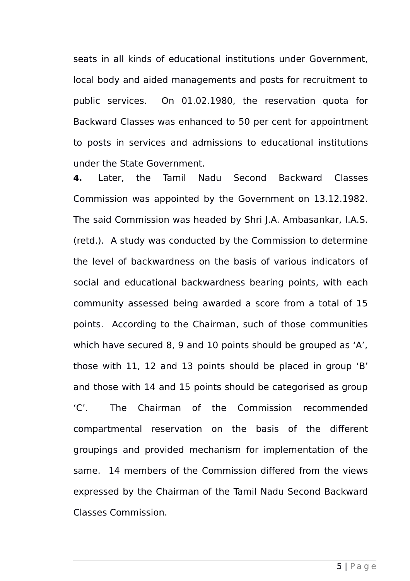seats in all kinds of educational institutions under Government, local body and aided managements and posts for recruitment to public services. On 01.02.1980, the reservation quota for Backward Classes was enhanced to 50 per cent for appointment to posts in services and admissions to educational institutions under the State Government.

**4.** Later, the Tamil Nadu Second Backward Classes Commission was appointed by the Government on 13.12.1982. The said Commission was headed by Shri J.A. Ambasankar, I.A.S. (retd.). A study was conducted by the Commission to determine the level of backwardness on the basis of various indicators of social and educational backwardness bearing points, with each community assessed being awarded a score from a total of 15 points. According to the Chairman, such of those communities which have secured 8, 9 and 10 points should be grouped as 'A', those with 11, 12 and 13 points should be placed in group 'B' and those with 14 and 15 points should be categorised as group 'C'. The Chairman of the Commission recommended compartmental reservation on the basis of the different groupings and provided mechanism for implementation of the same. 14 members of the Commission differed from the views expressed by the Chairman of the Tamil Nadu Second Backward Classes Commission.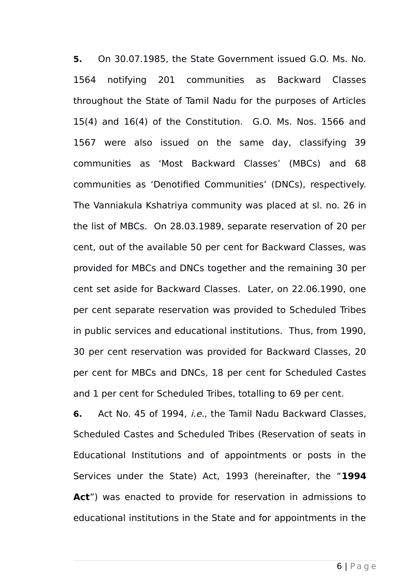**5.** On 30.07.1985, the State Government issued G.O. Ms. No. 1564 notifying 201 communities as Backward Classes throughout the State of Tamil Nadu for the purposes of Articles 15(4) and 16(4) of the Constitution. G.O. Ms. Nos. 1566 and 1567 were also issued on the same day, classifying 39 communities as 'Most Backward Classes' (MBCs) and 68 communities as 'Denotified Communities' (DNCs), respectively. The Vanniakula Kshatriya community was placed at sl. no. 26 in the list of MBCs. On 28.03.1989, separate reservation of 20 per cent, out of the available 50 per cent for Backward Classes, was provided for MBCs and DNCs together and the remaining 30 per cent set aside for Backward Classes. Later, on 22.06.1990, one per cent separate reservation was provided to Scheduled Tribes in public services and educational institutions. Thus, from 1990, 30 per cent reservation was provided for Backward Classes, 20 per cent for MBCs and DNCs, 18 per cent for Scheduled Castes and 1 per cent for Scheduled Tribes, totalling to 69 per cent.

**6.** Act No. 45 of 1994, i.e., the Tamil Nadu Backward Classes, Scheduled Castes and Scheduled Tribes (Reservation of seats in Educational Institutions and of appointments or posts in the Services under the State) Act, 1993 (hereinafter, the "**1994 Act**") was enacted to provide for reservation in admissions to educational institutions in the State and for appointments in the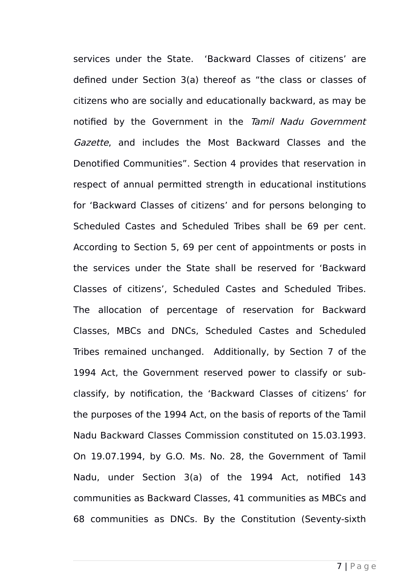services under the State. 'Backward Classes of citizens' are defined under Section 3(a) thereof as "the class or classes of citizens who are socially and educationally backward, as may be notified by the Government in the Tamil Nadu Government Gazette, and includes the Most Backward Classes and the Denotified Communities". Section 4 provides that reservation in respect of annual permitted strength in educational institutions for 'Backward Classes of citizens' and for persons belonging to Scheduled Castes and Scheduled Tribes shall be 69 per cent. According to Section 5, 69 per cent of appointments or posts in the services under the State shall be reserved for 'Backward Classes of citizens', Scheduled Castes and Scheduled Tribes. The allocation of percentage of reservation for Backward Classes, MBCs and DNCs, Scheduled Castes and Scheduled Tribes remained unchanged. Additionally, by Section 7 of the 1994 Act, the Government reserved power to classify or subclassify, by notification, the 'Backward Classes of citizens' for the purposes of the 1994 Act, on the basis of reports of the Tamil Nadu Backward Classes Commission constituted on 15.03.1993. On 19.07.1994, by G.O. Ms. No. 28, the Government of Tamil Nadu, under Section 3(a) of the 1994 Act, notified 143 communities as Backward Classes, 41 communities as MBCs and 68 communities as DNCs. By the Constitution (Seventy-sixth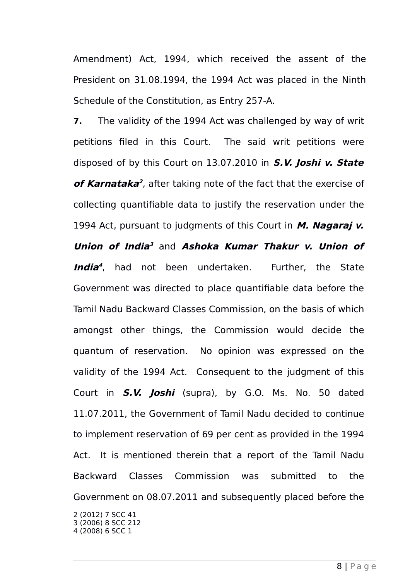Amendment) Act, 1994, which received the assent of the President on 31.08.1994, the 1994 Act was placed in the Ninth Schedule of the Constitution, as Entry 257-A.

<span id="page-7-2"></span><span id="page-7-1"></span><span id="page-7-0"></span>**7.** The validity of the 1994 Act was challenged by way of writ petitions filed in this Court. The said writ petitions were disposed of by this Court on 13.07.2010 in **S.V. Joshi v. State of Karnataka [2](#page-7-0)** , after taking note of the fact that the exercise of collecting quantifiable data to justify the reservation under the 1994 Act, pursuant to judgments of this Court in **M. Nagaraj v. Union of India [3](#page-7-1)** and **Ashoka Kumar Thakur v. Union of India [4](#page-7-2)** , had not been undertaken. Further, the State Government was directed to place quantifiable data before the Tamil Nadu Backward Classes Commission, on the basis of which amongst other things, the Commission would decide the quantum of reservation. No opinion was expressed on the validity of the 1994 Act. Consequent to the judgment of this Court in **S.V. Joshi** (supra), by G.O. Ms. No. 50 dated 11.07.2011, the Government of Tamil Nadu decided to continue to implement reservation of 69 per cent as provided in the 1994 Act. It is mentioned therein that a report of the Tamil Nadu Backward Classes Commission was submitted to the Government on 08.07.2011 and subsequently placed before the 2 (2012) 7 SCC 41 3 (2006) 8 SCC 212 4 (2008) 6 SCC 1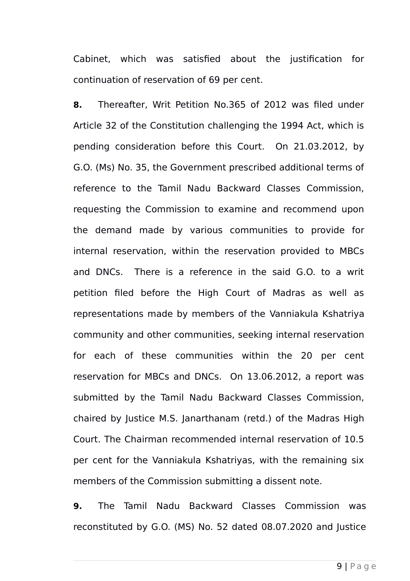Cabinet, which was satisfied about the justification for continuation of reservation of 69 per cent.

**8.** Thereafter, Writ Petition No.365 of 2012 was filed under Article 32 of the Constitution challenging the 1994 Act, which is pending consideration before this Court. On 21.03.2012, by G.O. (Ms) No. 35, the Government prescribed additional terms of reference to the Tamil Nadu Backward Classes Commission, requesting the Commission to examine and recommend upon the demand made by various communities to provide for internal reservation, within the reservation provided to MBCs and DNCs. There is a reference in the said G.O. to a writ petition filed before the High Court of Madras as well as representations made by members of the Vanniakula Kshatriya community and other communities, seeking internal reservation for each of these communities within the 20 per cent reservation for MBCs and DNCs. On 13.06.2012, a report was submitted by the Tamil Nadu Backward Classes Commission, chaired by Justice M.S. Janarthanam (retd.) of the Madras High Court. The Chairman recommended internal reservation of 10.5 per cent for the Vanniakula Kshatriyas, with the remaining six members of the Commission submitting a dissent note.

**9.** The Tamil Nadu Backward Classes Commission was reconstituted by G.O. (MS) No. 52 dated 08.07.2020 and Justice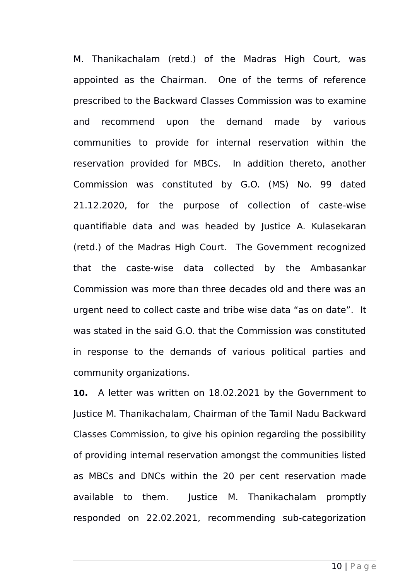M. Thanikachalam (retd.) of the Madras High Court, was appointed as the Chairman. One of the terms of reference prescribed to the Backward Classes Commission was to examine and recommend upon the demand made by various communities to provide for internal reservation within the reservation provided for MBCs. In addition thereto, another Commission was constituted by G.O. (MS) No. 99 dated 21.12.2020, for the purpose of collection of caste-wise quantifiable data and was headed by Justice A. Kulasekaran (retd.) of the Madras High Court. The Government recognized that the caste-wise data collected by the Ambasankar Commission was more than three decades old and there was an urgent need to collect caste and tribe wise data "as on date". It was stated in the said G.O. that the Commission was constituted in response to the demands of various political parties and community organizations.

**10.** A letter was written on 18.02.2021 by the Government to Justice M. Thanikachalam, Chairman of the Tamil Nadu Backward Classes Commission, to give his opinion regarding the possibility of providing internal reservation amongst the communities listed as MBCs and DNCs within the 20 per cent reservation made available to them. Justice M. Thanikachalam promptly responded on 22.02.2021, recommending sub-categorization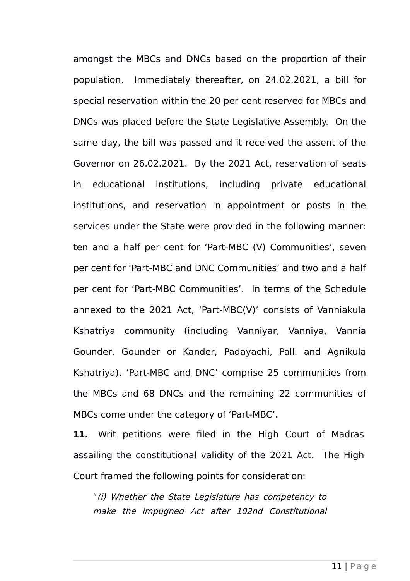amongst the MBCs and DNCs based on the proportion of their population. Immediately thereafter, on 24.02.2021, a bill for special reservation within the 20 per cent reserved for MBCs and DNCs was placed before the State Legislative Assembly. On the same day, the bill was passed and it received the assent of the Governor on 26.02.2021. By the 2021 Act, reservation of seats in educational institutions, including private educational institutions, and reservation in appointment or posts in the services under the State were provided in the following manner: ten and a half per cent for 'Part-MBC (V) Communities', seven per cent for 'Part-MBC and DNC Communities' and two and a half per cent for 'Part-MBC Communities'. In terms of the Schedule annexed to the 2021 Act, 'Part-MBC(V)' consists of Vanniakula Kshatriya community (including Vanniyar, Vanniya, Vannia Gounder, Gounder or Kander, Padayachi, Palli and Agnikula Kshatriya), 'Part-MBC and DNC' comprise 25 communities from the MBCs and 68 DNCs and the remaining 22 communities of MBCs come under the category of 'Part-MBC'.

**11.** Writ petitions were filed in the High Court of Madras assailing the constitutional validity of the 2021 Act. The High Court framed the following points for consideration:

"(i) Whether the State Legislature has competency to make the impugned Act after 102nd Constitutional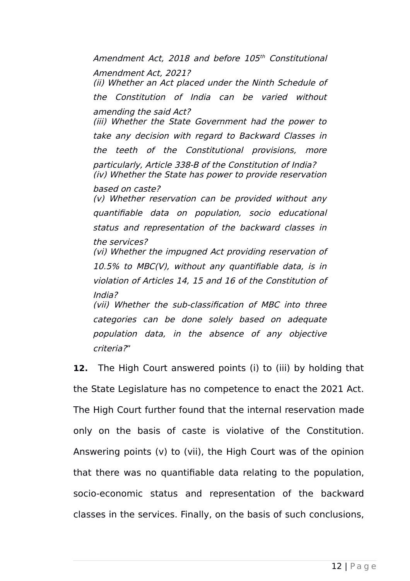Amendment Act, 2018 and before 105th Constitutional Amendment Act, 2021? (ii) Whether an Act placed under the Ninth Schedule of the Constitution of India can be varied without amending the said Act? (iii) Whether the State Government had the power to take any decision with regard to Backward Classes in the teeth of the Constitutional provisions, more particularly, Article 338-B of the Constitution of India? (iv) Whether the State has power to provide reservation based on caste? (v) Whether reservation can be provided without any quantifiable data on population, socio educational status and representation of the backward classes in the services? (vi) Whether the impugned Act providing reservation of 10.5% to MBC(V), without any quantifiable data, is in violation of Articles 14, 15 and 16 of the Constitution of India? (vii) Whether the sub-classification of MBC into three categories can be done solely based on adequate population data, in the absence of any objective criteria?"

**12.** The High Court answered points (i) to (iii) by holding that the State Legislature has no competence to enact the 2021 Act. The High Court further found that the internal reservation made only on the basis of caste is violative of the Constitution. Answering points (v) to (vii), the High Court was of the opinion that there was no quantifiable data relating to the population, socio-economic status and representation of the backward classes in the services. Finally, on the basis of such conclusions,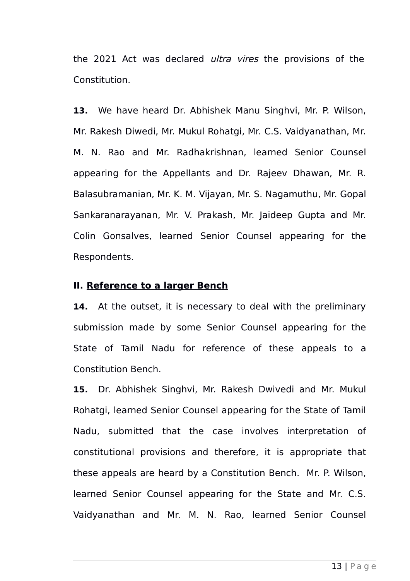the 2021 Act was declared *ultra vires* the provisions of the Constitution.

**13.** We have heard Dr. Abhishek Manu Singhvi, Mr. P. Wilson, Mr. Rakesh Diwedi, Mr. Mukul Rohatgi, Mr. C.S. Vaidyanathan, Mr. M. N. Rao and Mr. Radhakrishnan, learned Senior Counsel appearing for the Appellants and Dr. Rajeev Dhawan, Mr. R. Balasubramanian, Mr. K. M. Vijayan, Mr. S. Nagamuthu, Mr. Gopal Sankaranarayanan, Mr. V. Prakash, Mr. Jaideep Gupta and Mr. Colin Gonsalves, learned Senior Counsel appearing for the Respondents.

#### **II. Reference to a larger Bench**

**14.** At the outset, it is necessary to deal with the preliminary submission made by some Senior Counsel appearing for the State of Tamil Nadu for reference of these appeals to a Constitution Bench.

**15.** Dr. Abhishek Singhvi, Mr. Rakesh Dwivedi and Mr. Mukul Rohatgi, learned Senior Counsel appearing for the State of Tamil Nadu, submitted that the case involves interpretation of constitutional provisions and therefore, it is appropriate that these appeals are heard by a Constitution Bench. Mr. P. Wilson, learned Senior Counsel appearing for the State and Mr. C.S. Vaidyanathan and Mr. M. N. Rao, learned Senior Counsel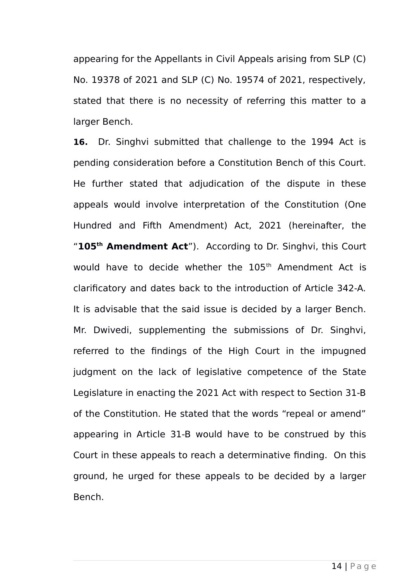appearing for the Appellants in Civil Appeals arising from SLP (C) No. 19378 of 2021 and SLP (C) No. 19574 of 2021, respectively, stated that there is no necessity of referring this matter to a larger Bench.

**16.** Dr. Singhvi submitted that challenge to the 1994 Act is pending consideration before a Constitution Bench of this Court. He further stated that adjudication of the dispute in these appeals would involve interpretation of the Constitution (One Hundred and Fifth Amendment) Act, 2021 (hereinafter, the "**105th Amendment Act**"). According to Dr. Singhvi, this Court would have to decide whether the 105<sup>th</sup> Amendment Act is clarificatory and dates back to the introduction of Article 342-A. It is advisable that the said issue is decided by a larger Bench. Mr. Dwivedi, supplementing the submissions of Dr. Singhvi, referred to the findings of the High Court in the impugned judgment on the lack of legislative competence of the State Legislature in enacting the 2021 Act with respect to Section 31-B of the Constitution. He stated that the words "repeal or amend" appearing in Article 31-B would have to be construed by this Court in these appeals to reach a determinative finding. On this ground, he urged for these appeals to be decided by a larger Bench.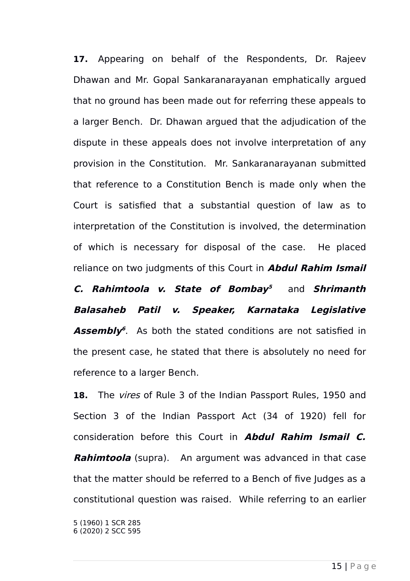**17.** Appearing on behalf of the Respondents, Dr. Rajeev Dhawan and Mr. Gopal Sankaranarayanan emphatically argued that no ground has been made out for referring these appeals to a larger Bench. Dr. Dhawan argued that the adjudication of the dispute in these appeals does not involve interpretation of any provision in the Constitution. Mr. Sankaranarayanan submitted that reference to a Constitution Bench is made only when the Court is satisfied that a substantial question of law as to interpretation of the Constitution is involved, the determination of which is necessary for disposal of the case. He placed reliance on two judgments of this Court in **Abdul Rahim Ismail**

**C. Rahimtoola v. State of Bombay [5](#page-14-0)** and **Shrimanth Balasaheb Patil v. Speaker, Karnataka Legislative** Assembly<sup>[6](#page-14-1)</sup>. As both the stated conditions are not satisfied in the present case, he stated that there is absolutely no need for reference to a larger Bench.

**18.** The vires of Rule 3 of the Indian Passport Rules, 1950 and Section 3 of the Indian Passport Act (34 of 1920) fell for consideration before this Court in **Abdul Rahim Ismail C. Rahimtoola** (supra). An argument was advanced in that case that the matter should be referred to a Bench of five Judges as a constitutional question was raised. While referring to an earlier

<span id="page-14-1"></span><span id="page-14-0"></span>5 (1960) 1 SCR 285 6 (2020) 2 SCC 595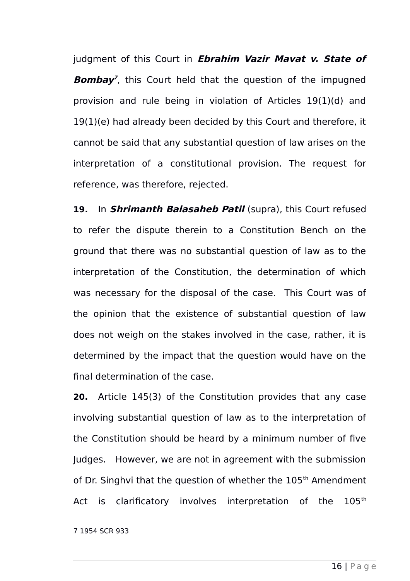judgment of this Court in **Ebrahim Vazir Mavat v. State of Bomba[y](#page-15-0) 7** , this Court held that the question of the impugned provision and rule being in violation of Articles 19(1)(d) and 19(1)(e) had already been decided by this Court and therefore, it cannot be said that any substantial question of law arises on the interpretation of a constitutional provision. The request for reference, was therefore, rejected.

**19.** In **Shrimanth Balasaheb Patil** (supra), this Court refused to refer the dispute therein to a Constitution Bench on the ground that there was no substantial question of law as to the interpretation of the Constitution, the determination of which was necessary for the disposal of the case. This Court was of the opinion that the existence of substantial question of law does not weigh on the stakes involved in the case, rather, it is determined by the impact that the question would have on the final determination of the case.

**20.** Article 145(3) of the Constitution provides that any case involving substantial question of law as to the interpretation of the Constitution should be heard by a minimum number of five Judges. However, we are not in agreement with the submission of Dr. Singhvi that the question of whether the 105<sup>th</sup> Amendment Act is clarificatory involves interpretation of the 105<sup>th</sup>

<span id="page-15-0"></span>7 1954 SCR 933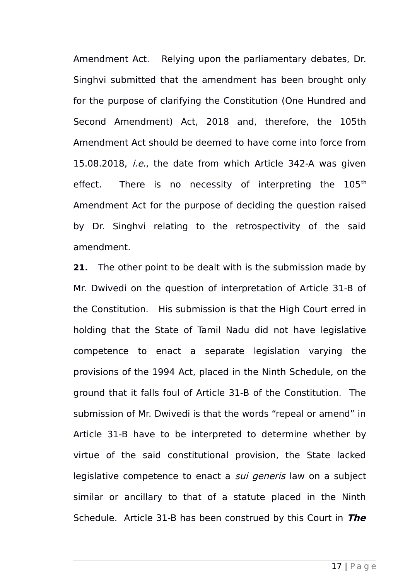Amendment Act. Relying upon the parliamentary debates, Dr. Singhvi submitted that the amendment has been brought only for the purpose of clarifying the Constitution (One Hundred and Second Amendment) Act, 2018 and, therefore, the 105th Amendment Act should be deemed to have come into force from 15.08.2018, *i.e.*, the date from which Article 342-A was given effect. There is no necessity of interpreting the  $105<sup>th</sup>$ Amendment Act for the purpose of deciding the question raised by Dr. Singhvi relating to the retrospectivity of the said amendment.

**21.** The other point to be dealt with is the submission made by Mr. Dwivedi on the question of interpretation of Article 31-B of the Constitution. His submission is that the High Court erred in holding that the State of Tamil Nadu did not have legislative competence to enact a separate legislation varying the provisions of the 1994 Act, placed in the Ninth Schedule, on the ground that it falls foul of Article 31-B of the Constitution. The submission of Mr. Dwivedi is that the words "repeal or amend" in Article 31-B have to be interpreted to determine whether by virtue of the said constitutional provision, the State lacked legislative competence to enact a *sui generis* law on a subject similar or ancillary to that of a statute placed in the Ninth Schedule. Article 31-B has been construed by this Court in **The**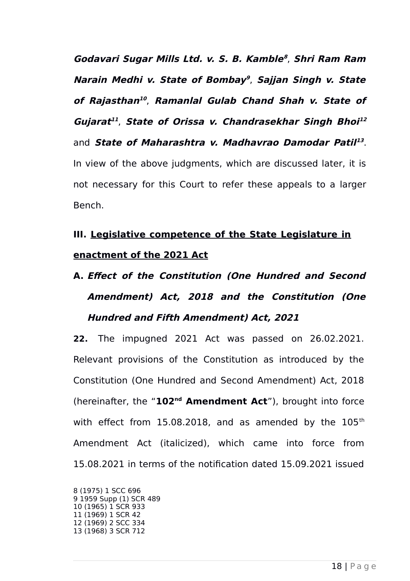**Godavari Sugar Mills Ltd. v. S. B. Kamble [8](#page-17-0)** , **Shri Ram Ram Narain Medhi v. State of Bombay [9](#page-17-1)** , **Sajjan Singh v. State of Rajasthan [10](#page-17-2)** , **Ramanlal Gulab Chand Shah v. State of Gujarat [11](#page-17-3)** , **State of Orissa v. Chandrasekhar Singh Bhoi [12](#page-17-4)** and State of Maharashtra v. Madhavrao Damodar Patil<sup>[13](#page-17-5)</sup>. In view of the above judgments, which are discussed later, it is not necessary for this Court to refer these appeals to a larger Bench.

## **III. Legislative competence of the State Legislature in enactment of the 2021 Act**

# **A. Effect of the Constitution (One Hundred and Second Amendment) Act, 2018 and the Constitution (One Hundred and Fifth Amendment) Act, 2021**

**22.** The impugned 2021 Act was passed on 26.02.2021. Relevant provisions of the Constitution as introduced by the Constitution (One Hundred and Second Amendment) Act, 2018 (hereinafter, the "**102nd Amendment Act**"), brought into force with effect from 15.08.2018, and as amended by the  $105<sup>th</sup>$ Amendment Act (italicized), which came into force from 15.08.2021 in terms of the notification dated 15.09.2021 issued

<span id="page-17-5"></span><span id="page-17-4"></span><span id="page-17-3"></span><span id="page-17-2"></span><span id="page-17-1"></span><span id="page-17-0"></span>8 (1975) 1 SCC 696 9 1959 Supp (1) SCR 489 10 (1965) 1 SCR 933 11 (1969) 1 SCR 42 12 (1969) 2 SCC 334 13 (1968) 3 SCR 712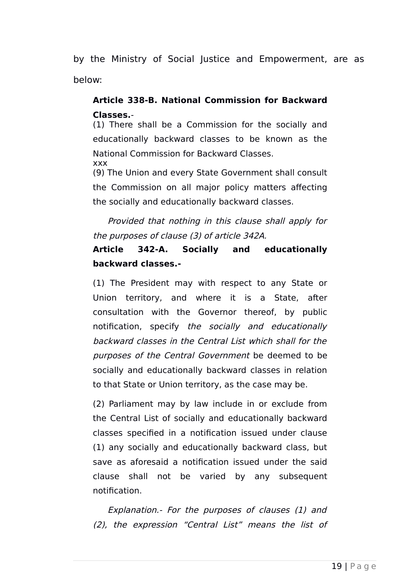by the Ministry of Social Justice and Empowerment, are as below:

## **Article 338-B. National Commission for Backward Classes.**-

(1) There shall be a Commission for the socially and educationally backward classes to be known as the National Commission for Backward Classes. xxx

(9) The Union and every State Government shall consult the Commission on all major policy matters affecting the socially and educationally backward classes.

Provided that nothing in this clause shall apply for the purposes of clause (3) of article 342A.

## **Article 342-A. Socially and educationally backward classes.-**

(1) The President may with respect to any State or Union territory, and where it is a State, after consultation with the Governor thereof, by public notification, specify the socially and educationally backward classes in the Central List which shall for the purposes of the Central Government be deemed to be socially and educationally backward classes in relation to that State or Union territory, as the case may be.

(2) Parliament may by law include in or exclude from the Central List of socially and educationally backward classes specified in a notification issued under clause (1) any socially and educationally backward class, but save as aforesaid a notification issued under the said clause shall not be varied by any subsequent notification.

Explanation.- For the purposes of clauses (1) and (2), the expression "Central List" means the list of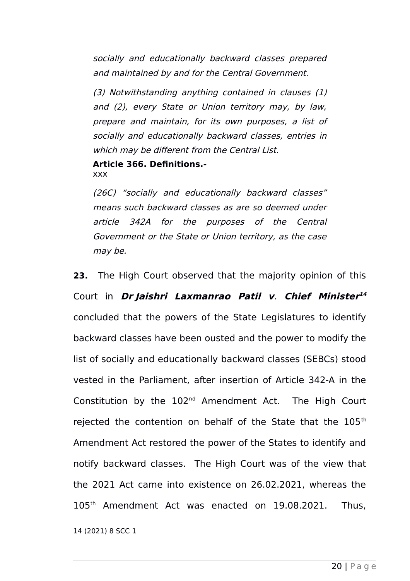socially and educationally backward classes prepared and maintained by and for the Central Government.

(3) Notwithstanding anything contained in clauses (1) and (2), every State or Union territory may, by law, prepare and maintain, for its own purposes, a list of socially and educationally backward classes, entries in which may be different from the Central List.

**Article 366. Definitions.** xxx

(26C) "socially and educationally backward classes" means such backward classes as are so deemed under article 342A for the purposes of the Central Government or the State or Union territory, as the case may be.

**23.** The High Court observed that the majority opinion of this Court in **Dr Jaishri Laxmanrao Patil <sup>v</sup>**. **Chief Minister [14](#page-19-0)** concluded that the powers of the State Legislatures to identify backward classes have been ousted and the power to modify the list of socially and educationally backward classes (SEBCs) stood vested in the Parliament, after insertion of Article 342-A in the Constitution by the 102nd Amendment Act. The High Court rejected the contention on behalf of the State that the 105<sup>th</sup> Amendment Act restored the power of the States to identify and notify backward classes. The High Court was of the view that the 2021 Act came into existence on 26.02.2021, whereas the 105th Amendment Act was enacted on 19.08.2021. Thus,

<span id="page-19-0"></span>14 (2021) 8 SCC 1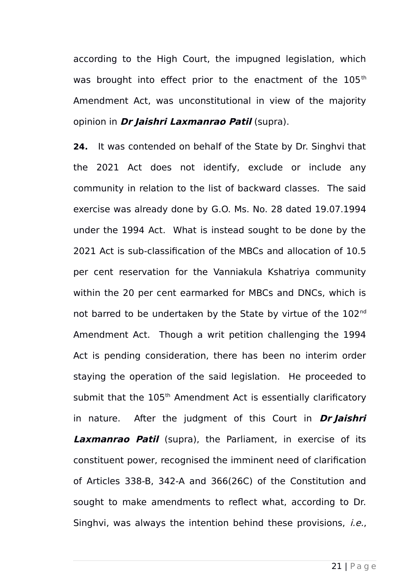according to the High Court, the impugned legislation, which was brought into effect prior to the enactment of the 105<sup>th</sup> Amendment Act, was unconstitutional in view of the majority opinion in **Dr Jaishri Laxmanrao Patil** (supra).

**24.** It was contended on behalf of the State by Dr. Singhvi that the 2021 Act does not identify, exclude or include any community in relation to the list of backward classes. The said exercise was already done by G.O. Ms. No. 28 dated 19.07.1994 under the 1994 Act. What is instead sought to be done by the 2021 Act is sub-classification of the MBCs and allocation of 10.5 per cent reservation for the Vanniakula Kshatriya community within the 20 per cent earmarked for MBCs and DNCs, which is not barred to be undertaken by the State by virtue of the 102<sup>nd</sup> Amendment Act. Though a writ petition challenging the 1994 Act is pending consideration, there has been no interim order staying the operation of the said legislation. He proceeded to submit that the 105<sup>th</sup> Amendment Act is essentially clarificatory in nature. After the judgment of this Court in **Dr Jaishri Laxmanrao Patil** (supra), the Parliament, in exercise of its constituent power, recognised the imminent need of clarification of Articles 338-B, 342-A and 366(26C) of the Constitution and sought to make amendments to reflect what, according to Dr. Singhvi, was always the intention behind these provisions, *i.e.*,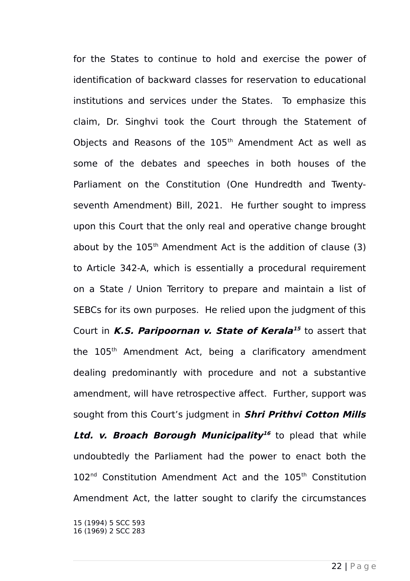for the States to continue to hold and exercise the power of identification of backward classes for reservation to educational institutions and services under the States. To emphasize this claim, Dr. Singhvi took the Court through the Statement of Objects and Reasons of the 105<sup>th</sup> Amendment Act as well as some of the debates and speeches in both houses of the Parliament on the Constitution (One Hundredth and Twentyseventh Amendment) Bill, 2021. He further sought to impress upon this Court that the only real and operative change brought about by the  $105<sup>th</sup>$  Amendment Act is the addition of clause (3) to Article 342-A, which is essentially a procedural requirement on a State / Union Territory to prepare and maintain a list of SEBCs for its own purposes. He relied upon the judgment of this Court in **K.S. Paripoornan v. State of Kerala [15](#page-21-0)** to assert that the 105<sup>th</sup> Amendment Act, being a clarificatory amendment dealing predominantly with procedure and not a substantive amendment, will have retrospective affect. Further, support was sought from this Court's judgment in **Shri Prithvi Cotton Mills Ltd. v. Broach Borough Municipality [16](#page-21-1)** to plead that while undoubtedly the Parliament had the power to enact both the  $102<sup>nd</sup>$  Constitution Amendment Act and the  $105<sup>th</sup>$  Constitution Amendment Act, the latter sought to clarify the circumstances

<span id="page-21-1"></span><span id="page-21-0"></span>15 (1994) 5 SCC 593 16 (1969) 2 SCC 283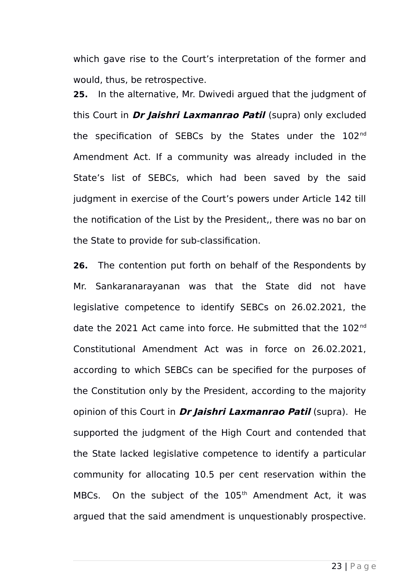which gave rise to the Court's interpretation of the former and would, thus, be retrospective.

**25.** In the alternative, Mr. Dwivedi argued that the judgment of this Court in **Dr Jaishri Laxmanrao Patil** (supra) only excluded the specification of SEBCs by the States under the 102<sup>nd</sup> Amendment Act. If a community was already included in the State's list of SEBCs, which had been saved by the said judgment in exercise of the Court's powers under Article 142 till the notification of the List by the President,, there was no bar on the State to provide for sub-classification.

**26.** The contention put forth on behalf of the Respondents by Mr. Sankaranarayanan was that the State did not have legislative competence to identify SEBCs on 26.02.2021, the date the 2021 Act came into force. He submitted that the 102<sup>nd</sup> Constitutional Amendment Act was in force on 26.02.2021, according to which SEBCs can be specified for the purposes of the Constitution only by the President, according to the majority opinion of this Court in **Dr Jaishri Laxmanrao Patil** (supra). He supported the judgment of the High Court and contended that the State lacked legislative competence to identify a particular community for allocating 10.5 per cent reservation within the MBCs. On the subject of the 105<sup>th</sup> Amendment Act, it was argued that the said amendment is unquestionably prospective.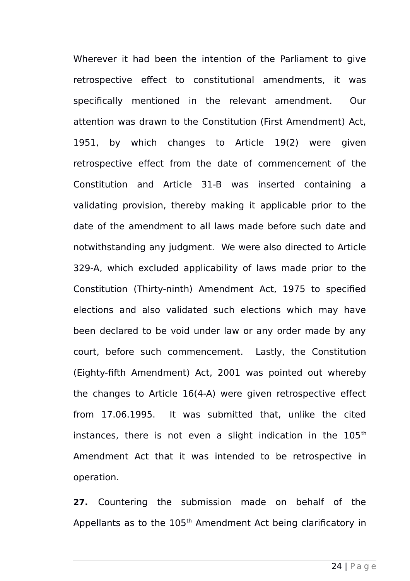Wherever it had been the intention of the Parliament to give retrospective effect to constitutional amendments, it was specifically mentioned in the relevant amendment. Our attention was drawn to the Constitution (First Amendment) Act, 1951, by which changes to Article 19(2) were given retrospective effect from the date of commencement of the Constitution and Article 31-B was inserted containing a validating provision, thereby making it applicable prior to the date of the amendment to all laws made before such date and notwithstanding any judgment. We were also directed to Article 329-A, which excluded applicability of laws made prior to the Constitution (Thirty-ninth) Amendment Act, 1975 to specified elections and also validated such elections which may have been declared to be void under law or any order made by any court, before such commencement. Lastly, the Constitution (Eighty-fifth Amendment) Act, 2001 was pointed out whereby the changes to Article 16(4-A) were given retrospective effect from 17.06.1995. It was submitted that, unlike the cited instances, there is not even a slight indication in the  $105<sup>th</sup>$ Amendment Act that it was intended to be retrospective in operation.

**27.** Countering the submission made on behalf of the Appellants as to the 105<sup>th</sup> Amendment Act being clarificatory in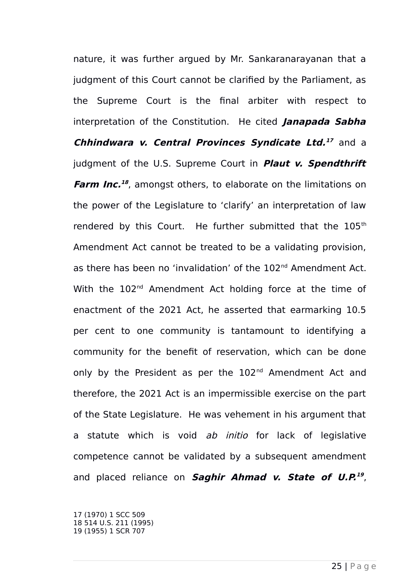nature, it was further argued by Mr. Sankaranarayanan that a judgment of this Court cannot be clarified by the Parliament, as the Supreme Court is the final arbiter with respect to interpretation of the Constitution. He cited **Janapada Sabha Chhindwara v. Central Provinces Syndicate Ltd. [17](#page-24-0)** and a judgment of the U.S. Supreme Court in **Plaut v. Spendthrift** Farm Inc.<sup>[18](#page-24-1)</sup>, amongst others, to elaborate on the limitations on the power of the Legislature to 'clarify' an interpretation of law rendered by this Court. He further submitted that the 105<sup>th</sup> Amendment Act cannot be treated to be a validating provision, as there has been no 'invalidation' of the 102<sup>nd</sup> Amendment Act. With the 102<sup>nd</sup> Amendment Act holding force at the time of enactment of the 2021 Act, he asserted that earmarking 10.5 per cent to one community is tantamount to identifying a community for the benefit of reservation, which can be done only by the President as per the 102<sup>nd</sup> Amendment Act and therefore, the 2021 Act is an impermissible exercise on the part of the State Legislature. He was vehement in his argument that a statute which is void ab initio for lack of legislative competence cannot be validated by a subsequent amendment and placed reliance on **Saghir Ahmad v. State of U.P. [19](#page-24-2)** ,

<span id="page-24-2"></span><span id="page-24-1"></span><span id="page-24-0"></span>17 (1970) 1 SCC 509 18 514 U.S. 211 (1995) 19 (1955) 1 SCR 707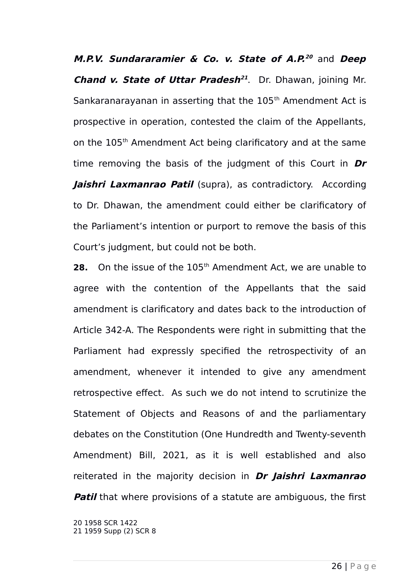**M.P.V. Sundararamier & Co. v. State of A.P. [20](#page-25-0)** and **Deep** *Chand v. State of Uttar Pradesh***<sup>[21](#page-25-1)</sup>. Dr. Dhawan, joining Mr.** Sankaranarayanan in asserting that the 105<sup>th</sup> Amendment Act is prospective in operation, contested the claim of the Appellants, on the 105<sup>th</sup> Amendment Act being clarificatory and at the same time removing the basis of the judgment of this Court in **Dr Jaishri Laxmanrao Patil** (supra), as contradictory. According to Dr. Dhawan, the amendment could either be clarificatory of the Parliament's intention or purport to remove the basis of this Court's judgment, but could not be both.

28. On the issue of the 105<sup>th</sup> Amendment Act, we are unable to agree with the contention of the Appellants that the said amendment is clarificatory and dates back to the introduction of Article 342-A. The Respondents were right in submitting that the Parliament had expressly specified the retrospectivity of an amendment, whenever it intended to give any amendment retrospective effect. As such we do not intend to scrutinize the Statement of Objects and Reasons of and the parliamentary debates on the Constitution (One Hundredth and Twenty-seventh Amendment) Bill, 2021, as it is well established and also reiterated in the majority decision in **Dr Jaishri Laxmanrao Patil** that where provisions of a statute are ambiguous, the first

<span id="page-25-1"></span><span id="page-25-0"></span>20 1958 SCR 1422 21 1959 Supp (2) SCR 8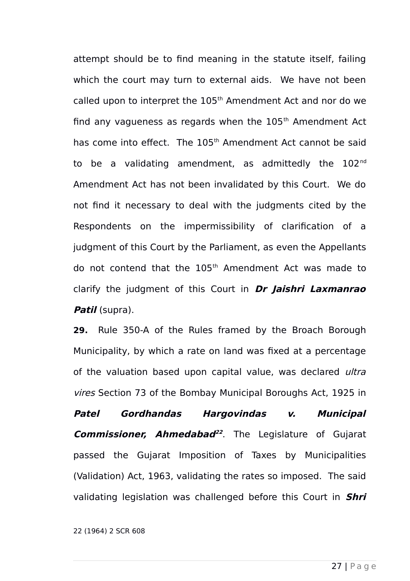attempt should be to find meaning in the statute itself, failing which the court may turn to external aids. We have not been called upon to interpret the 105<sup>th</sup> Amendment Act and nor do we find any vagueness as regards when the  $105<sup>th</sup>$  Amendment Act has come into effect. The 105<sup>th</sup> Amendment Act cannot be said to be a validating amendment, as admittedly the 102<sup>nd</sup> Amendment Act has not been invalidated by this Court. We do not find it necessary to deal with the judgments cited by the Respondents on the impermissibility of clarification of a judgment of this Court by the Parliament, as even the Appellants do not contend that the 105<sup>th</sup> Amendment Act was made to clarify the judgment of this Court in **Dr Jaishri Laxmanrao Patil** (supra).

**29.** Rule 350-A of the Rules framed by the Broach Borough Municipality, by which a rate on land was fixed at a percentage of the valuation based upon capital value, was declared *ultra* vires Section 73 of the Bombay Municipal Boroughs Act, 1925 in

**Patel Gordhandas Hargovindas v. Municipal Commissioner, Ahmedabad [22](#page-26-0)** . The Legislature of Gujarat passed the Gujarat Imposition of Taxes by Municipalities (Validation) Act, 1963, validating the rates so imposed. The said validating legislation was challenged before this Court in **Shri**

<span id="page-26-0"></span>22 (1964) 2 SCR 608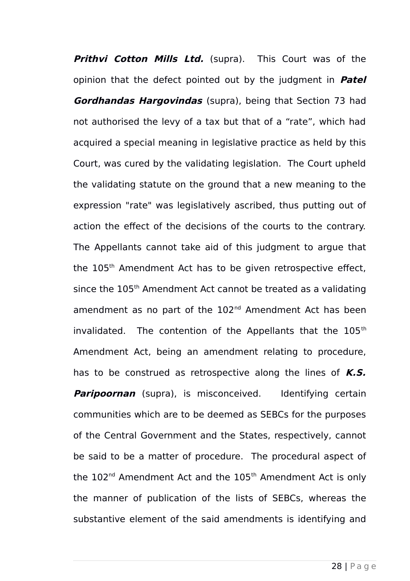**Prithvi Cotton Mills Ltd.** (supra). This Court was of the opinion that the defect pointed out by the judgment in **Patel Gordhandas Hargovindas** (supra), being that Section 73 had not authorised the levy of a tax but that of a "rate", which had acquired a special meaning in legislative practice as held by this Court, was cured by the validating legislation. The Court upheld the validating statute on the ground that a new meaning to the expression "rate" was legislatively ascribed, thus putting out of action the effect of the decisions of the courts to the contrary. The Appellants cannot take aid of this judgment to argue that the 105<sup>th</sup> Amendment Act has to be given retrospective effect, since the 105<sup>th</sup> Amendment Act cannot be treated as a validating amendment as no part of the 102<sup>nd</sup> Amendment Act has been invalidated. The contention of the Appellants that the 105<sup>th</sup> Amendment Act, being an amendment relating to procedure, has to be construed as retrospective along the lines of **K.S. Paripoornan** (supra), is misconceived. Identifying certain communities which are to be deemed as SEBCs for the purposes of the Central Government and the States, respectively, cannot be said to be a matter of procedure. The procedural aspect of the  $102<sup>nd</sup>$  Amendment Act and the  $105<sup>th</sup>$  Amendment Act is only the manner of publication of the lists of SEBCs, whereas the substantive element of the said amendments is identifying and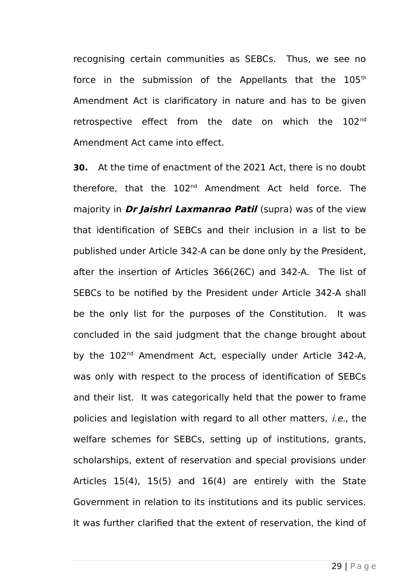recognising certain communities as SEBCs. Thus, we see no force in the submission of the Appellants that the  $105<sup>th</sup>$ Amendment Act is clarificatory in nature and has to be given retrospective effect from the date on which the 102<sup>nd</sup> Amendment Act came into effect.

**30.** At the time of enactment of the 2021 Act, there is no doubt therefore, that the 102<sup>nd</sup> Amendment Act held force. The majority in **Dr Jaishri Laxmanrao Patil** (supra) was of the view that identification of SEBCs and their inclusion in a list to be published under Article 342-A can be done only by the President, after the insertion of Articles 366(26C) and 342-A. The list of SEBCs to be notified by the President under Article 342-A shall be the only list for the purposes of the Constitution. It was concluded in the said judgment that the change brought about by the 102<sup>nd</sup> Amendment Act, especially under Article 342-A, was only with respect to the process of identification of SEBCs and their list. It was categorically held that the power to frame policies and legislation with regard to all other matters, i.e., the welfare schemes for SEBCs, setting up of institutions, grants, scholarships, extent of reservation and special provisions under Articles 15(4), 15(5) and 16(4) are entirely with the State Government in relation to its institutions and its public services. It was further clarified that the extent of reservation, the kind of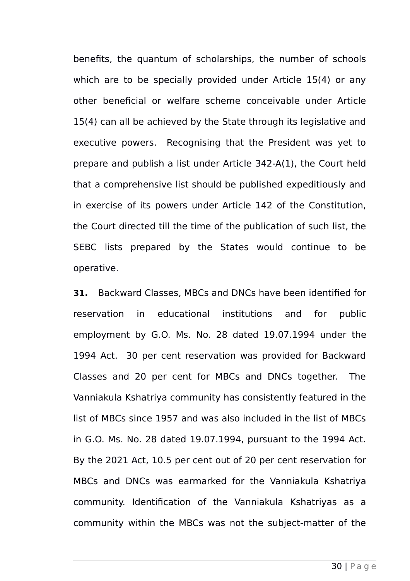benefits, the quantum of scholarships, the number of schools which are to be specially provided under Article 15(4) or any other beneficial or welfare scheme conceivable under Article 15(4) can all be achieved by the State through its legislative and executive powers. Recognising that the President was yet to prepare and publish a list under Article 342-A(1), the Court held that a comprehensive list should be published expeditiously and in exercise of its powers under Article 142 of the Constitution, the Court directed till the time of the publication of such list, the SEBC lists prepared by the States would continue to be operative.

**31.** Backward Classes, MBCs and DNCs have been identified for reservation in educational institutions and for public employment by G.O. Ms. No. 28 dated 19.07.1994 under the 1994 Act. 30 per cent reservation was provided for Backward Classes and 20 per cent for MBCs and DNCs together. The Vanniakula Kshatriya community has consistently featured in the list of MBCs since 1957 and was also included in the list of MBCs in G.O. Ms. No. 28 dated 19.07.1994, pursuant to the 1994 Act. By the 2021 Act, 10.5 per cent out of 20 per cent reservation for MBCs and DNCs was earmarked for the Vanniakula Kshatriya community. Identification of the Vanniakula Kshatriyas as a community within the MBCs was not the subject-matter of the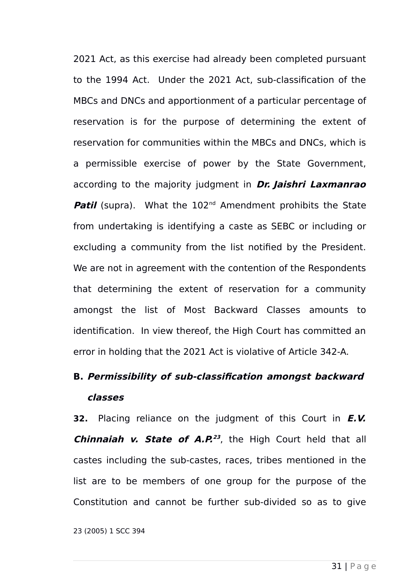2021 Act, as this exercise had already been completed pursuant to the 1994 Act. Under the 2021 Act, sub-classification of the MBCs and DNCs and apportionment of a particular percentage of reservation is for the purpose of determining the extent of reservation for communities within the MBCs and DNCs, which is a permissible exercise of power by the State Government, according to the majority judgment in **Dr. Jaishri Laxmanrao Patil** (supra). What the 102<sup>nd</sup> Amendment prohibits the State from undertaking is identifying a caste as SEBC or including or excluding a community from the list notified by the President. We are not in agreement with the contention of the Respondents that determining the extent of reservation for a community amongst the list of Most Backward Classes amounts to identification. In view thereof, the High Court has committed an error in holding that the 2021 Act is violative of Article 342-A.

## **B. Permissibility of sub-classification amongst backward classes**

**32.** Placing reliance on the judgment of this Court in **E.V. Chinnaiah v. State of A.P. [23](#page-30-0)** , the High Court held that all castes including the sub-castes, races, tribes mentioned in the list are to be members of one group for the purpose of the Constitution and cannot be further sub-divided so as to give

<span id="page-30-0"></span>23 (2005) 1 SCC 394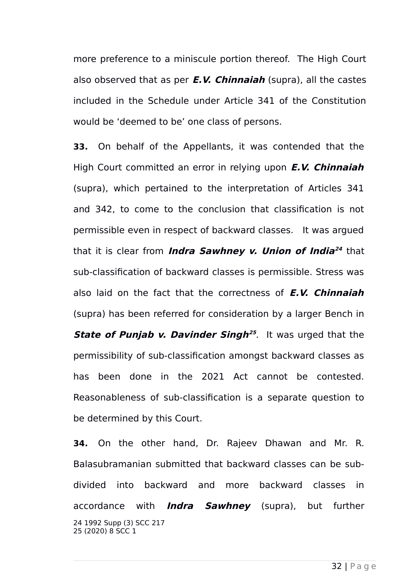more preference to a miniscule portion thereof. The High Court also observed that as per **E.V. Chinnaiah** (supra), all the castes included in the Schedule under Article 341 of the Constitution would be 'deemed to be' one class of persons.

**33.** On behalf of the Appellants, it was contended that the High Court committed an error in relying upon **E.V. Chinnaiah** (supra), which pertained to the interpretation of Articles 341 and 342, to come to the conclusion that classification is not permissible even in respect of backward classes. It was argued that it is clear from **Indra Sawhney v. Union of India [24](#page-31-0)** that sub-classification of backward classes is permissible. Stress was also laid on the fact that the correctness of **E.V. Chinnaiah** (supra) has been referred for consideration by a larger Bench in **State of Punjab v. Davinder Singh [25](#page-31-1)** . It was urged that the permissibility of sub-classification amongst backward classes as has been done in the 2021 Act cannot be contested. Reasonableness of sub-classification is a separate question to be determined by this Court.

<span id="page-31-1"></span><span id="page-31-0"></span>**34.** On the other hand, Dr. Rajeev Dhawan and Mr. R. Balasubramanian submitted that backward classes can be subdivided into backward and more backward classes in accordance with **Indra Sawhney** (supra), but further 24 1992 Supp (3) SCC 217 25 (2020) 8 SCC 1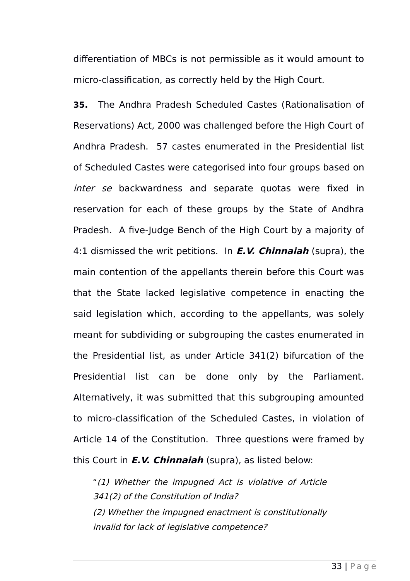differentiation of MBCs is not permissible as it would amount to micro-classification, as correctly held by the High Court.

**35.** The Andhra Pradesh Scheduled Castes (Rationalisation of Reservations) Act, 2000 was challenged before the High Court of Andhra Pradesh. 57 castes enumerated in the Presidential list of Scheduled Castes were categorised into four groups based on inter se backwardness and separate quotas were fixed in reservation for each of these groups by the State of Andhra Pradesh. A five-Judge Bench of the High Court by a majority of 4:1 dismissed the writ petitions. In **E.V. Chinnaiah** (supra), the main contention of the appellants therein before this Court was that the State lacked legislative competence in enacting the said legislation which, according to the appellants, was solely meant for subdividing or subgrouping the castes enumerated in the Presidential list, as under Article 341(2) bifurcation of the Presidential list can be done only by the Parliament. Alternatively, it was submitted that this subgrouping amounted to micro-classification of the Scheduled Castes, in violation of Article 14 of the Constitution. Three questions were framed by this Court in **E.V. Chinnaiah** (supra), as listed below:

"(1) Whether the impugned Act is violative of Article 341(2) of the Constitution of India? (2) Whether the impugned enactment is constitutionally invalid for lack of legislative competence?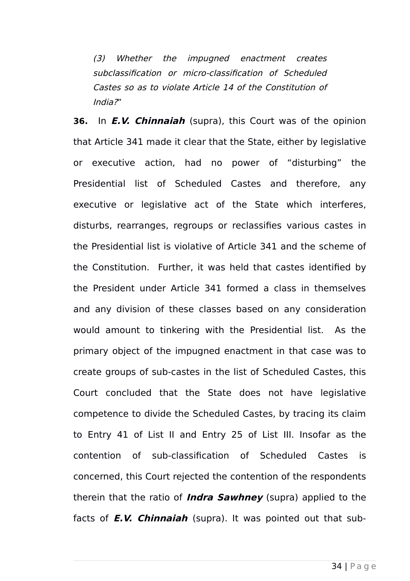(3) Whether the impugned enactment creates subclassification or micro-classification of Scheduled Castes so as to violate Article 14 of the Constitution of India?"

**36.** In **E.V. Chinnaiah** (supra), this Court was of the opinion that Article 341 made it clear that the State, either by legislative or executive action, had no power of "disturbing" the Presidential list of Scheduled Castes and therefore, any executive or legislative act of the State which interferes, disturbs, rearranges, regroups or reclassifies various castes in the Presidential list is violative of Article 341 and the scheme of the Constitution. Further, it was held that castes identified by the President under Article 341 formed a class in themselves and any division of these classes based on any consideration would amount to tinkering with the Presidential list. As the primary object of the impugned enactment in that case was to create groups of sub-castes in the list of Scheduled Castes, this Court concluded that the State does not have legislative competence to divide the Scheduled Castes, by tracing its claim to Entry 41 of List II and Entry 25 of List III. Insofar as the contention of sub-classification of Scheduled Castes is concerned, this Court rejected the contention of the respondents therein that the ratio of **Indra Sawhney** (supra) applied to the facts of **E.V. Chinnaiah** (supra). It was pointed out that sub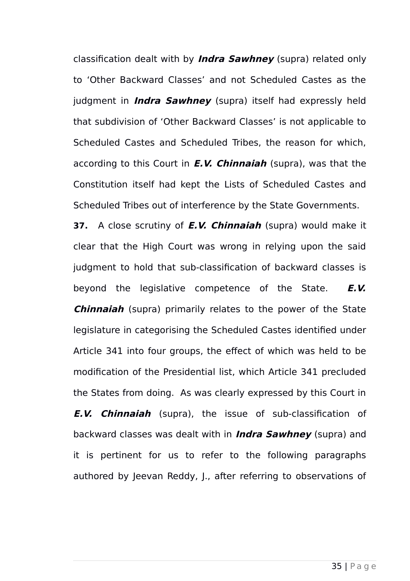classification dealt with by **Indra Sawhney** (supra) related only to 'Other Backward Classes' and not Scheduled Castes as the judgment in **Indra Sawhney** (supra) itself had expressly held that subdivision of 'Other Backward Classes' is not applicable to Scheduled Castes and Scheduled Tribes, the reason for which, according to this Court in **E.V. Chinnaiah** (supra), was that the Constitution itself had kept the Lists of Scheduled Castes and Scheduled Tribes out of interference by the State Governments.

**37.** A close scrutiny of **E.V. Chinnaiah** (supra) would make it clear that the High Court was wrong in relying upon the said judgment to hold that sub-classification of backward classes is beyond the legislative competence of the State. **E.V. Chinnaiah** (supra) primarily relates to the power of the State legislature in categorising the Scheduled Castes identified under Article 341 into four groups, the effect of which was held to be modification of the Presidential list, which Article 341 precluded the States from doing. As was clearly expressed by this Court in **E.V. Chinnaiah** (supra), the issue of sub-classification of backward classes was dealt with in **Indra Sawhney** (supra) and it is pertinent for us to refer to the following paragraphs authored by Jeevan Reddy, J., after referring to observations of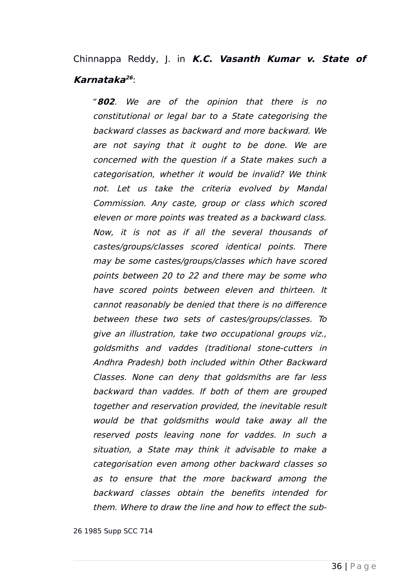## Chinnappa Reddy, J. in **K.C. Vasanth Kumar v. State of Karnataka [26](#page-35-0)** :

"**802**. We are of the opinion that there is no constitutional or legal bar to a State categorising the backward classes as backward and more backward. We are not saying that it ought to be done. We are concerned with the question if a State makes such a categorisation, whether it would be invalid? We think not. Let us take the criteria evolved by Mandal Commission. Any caste, group or class which scored eleven or more points was treated as a backward class. Now, it is not as if all the several thousands of castes/groups/classes scored identical points. There may be some castes/groups/classes which have scored points between 20 to 22 and there may be some who have scored points between eleven and thirteen. It cannot reasonably be denied that there is no difference between these two sets of castes/groups/classes. To give an illustration, take two occupational groups viz., goldsmiths and vaddes (traditional stone-cutters in Andhra Pradesh) both included within Other Backward Classes. None can deny that goldsmiths are far less backward than vaddes. If both of them are grouped together and reservation provided, the inevitable result would be that goldsmiths would take away all the reserved posts leaving none for vaddes. In such <sup>a</sup> situation, <sup>a</sup> State may think it advisable to make <sup>a</sup> categorisation even among other backward classes so as to ensure that the more backward among the backward classes obtain the benefits intended for them. Where to draw the line and how to effect the sub-

<span id="page-35-0"></span>26 1985 Supp SCC 714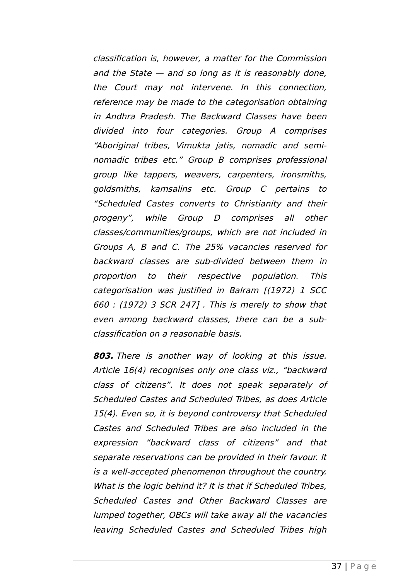classification is, however, a matter for the Commission and the State — and so long as it is reasonably done, the Court may not intervene. In this connection, reference may be made to the categorisation obtaining in Andhra Pradesh. The Backward Classes have been divided into four categories. Group A comprises "Aboriginal tribes, Vimukta jatis, nomadic and seminomadic tribes etc." Group B comprises professional group like tappers, weavers, carpenters, ironsmiths, goldsmiths, kamsalins etc. Group C pertains to "Scheduled Castes converts to Christianity and their progeny", while Group D comprises all other classes/communities/groups, which are not included in Groups A, B and C. The 25% vacancies reserved for backward classes are sub-divided between them in proportion to their respective population. This categorisation was justified in Balram [(1972) 1 SCC 660 : (1972) 3 SCR 247] . This is merely to show that even among backward classes, there can be a subclassification on a reasonable basis.

**803.** There is another way of looking at this issue. Article 16(4) recognises only one class viz., "backward class of citizens". It does not speak separately of Scheduled Castes and Scheduled Tribes, as does Article 15(4). Even so, it is beyond controversy that Scheduled Castes and Scheduled Tribes are also included in the expression "backward class of citizens" and that separate reservations can be provided in their favour. It is a well-accepted phenomenon throughout the country. What is the logic behind it? It is that if Scheduled Tribes. Scheduled Castes and Other Backward Classes are lumped together, OBCs will take away all the vacancies leaving Scheduled Castes and Scheduled Tribes high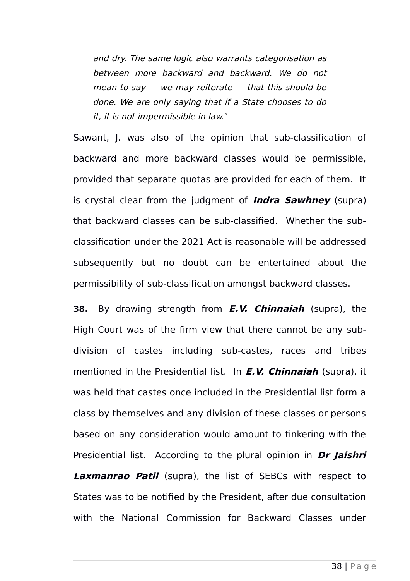and dry. The same logic also warrants categorisation as between more backward and backward. We do not mean to say  $-$  we may reiterate  $-$  that this should be done. We are only saying that if a State chooses to do it, it is not impermissible in law."

Sawant, J. was also of the opinion that sub-classification of backward and more backward classes would be permissible, provided that separate quotas are provided for each of them. It is crystal clear from the judgment of **Indra Sawhney** (supra) that backward classes can be sub-classified. Whether the subclassification under the 2021 Act is reasonable will be addressed subsequently but no doubt can be entertained about the permissibility of sub-classification amongst backward classes.

**38.** By drawing strength from **E.V. Chinnaiah** (supra), the High Court was of the firm view that there cannot be any subdivision of castes including sub-castes, races and tribes mentioned in the Presidential list. In **E.V. Chinnaiah** (supra), it was held that castes once included in the Presidential list form a class by themselves and any division of these classes or persons based on any consideration would amount to tinkering with the Presidential list. According to the plural opinion in **Dr Jaishri Laxmanrao Patil** (supra), the list of SEBCs with respect to States was to be notified by the President, after due consultation with the National Commission for Backward Classes under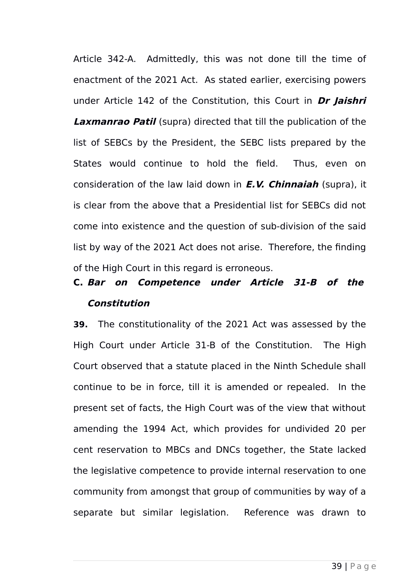Article 342-A. Admittedly, this was not done till the time of enactment of the 2021 Act. As stated earlier, exercising powers under Article 142 of the Constitution, this Court in **Dr Jaishri Laxmanrao Patil** (supra) directed that till the publication of the list of SEBCs by the President, the SEBC lists prepared by the States would continue to hold the field. Thus, even on consideration of the law laid down in **E.V. Chinnaiah** (supra), it is clear from the above that a Presidential list for SEBCs did not come into existence and the question of sub-division of the said list by way of the 2021 Act does not arise. Therefore, the finding of the High Court in this regard is erroneous.

## **C. Bar on Competence under Article 31-B of the Constitution**

**39.** The constitutionality of the 2021 Act was assessed by the High Court under Article 31-B of the Constitution. The High Court observed that a statute placed in the Ninth Schedule shall continue to be in force, till it is amended or repealed. In the present set of facts, the High Court was of the view that without amending the 1994 Act, which provides for undivided 20 per cent reservation to MBCs and DNCs together, the State lacked the legislative competence to provide internal reservation to one community from amongst that group of communities by way of a separate but similar legislation. Reference was drawn to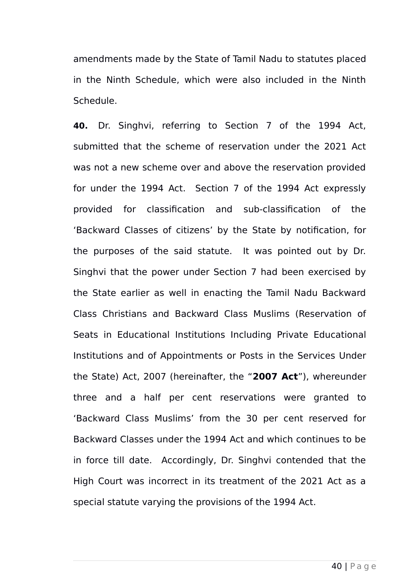amendments made by the State of Tamil Nadu to statutes placed in the Ninth Schedule, which were also included in the Ninth Schedule.

**40.** Dr. Singhvi, referring to Section 7 of the 1994 Act, submitted that the scheme of reservation under the 2021 Act was not a new scheme over and above the reservation provided for under the 1994 Act. Section 7 of the 1994 Act expressly provided for classification and sub-classification of the 'Backward Classes of citizens' by the State by notification, for the purposes of the said statute. It was pointed out by Dr. Singhvi that the power under Section 7 had been exercised by the State earlier as well in enacting the Tamil Nadu Backward Class Christians and Backward Class Muslims (Reservation of Seats in Educational Institutions Including Private Educational Institutions and of Appointments or Posts in the Services Under the State) Act, 2007 (hereinafter, the "**2007 Act**"), whereunder three and a half per cent reservations were granted to 'Backward Class Muslims' from the 30 per cent reserved for Backward Classes under the 1994 Act and which continues to be in force till date. Accordingly, Dr. Singhvi contended that the High Court was incorrect in its treatment of the 2021 Act as a special statute varying the provisions of the 1994 Act.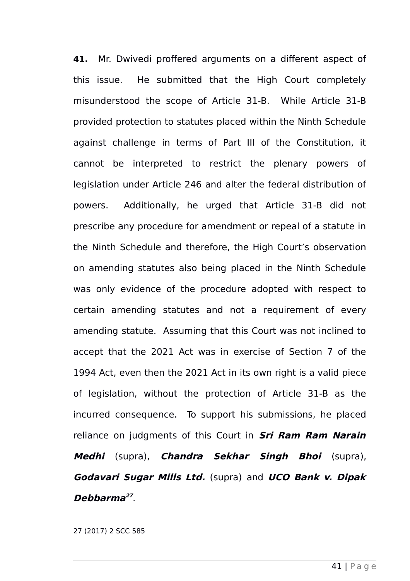**41.** Mr. Dwivedi proffered arguments on a different aspect of this issue. He submitted that the High Court completely misunderstood the scope of Article 31-B. While Article 31-B provided protection to statutes placed within the Ninth Schedule against challenge in terms of Part III of the Constitution, it cannot be interpreted to restrict the plenary powers of legislation under Article 246 and alter the federal distribution of powers. Additionally, he urged that Article 31-B did not prescribe any procedure for amendment or repeal of a statute in the Ninth Schedule and therefore, the High Court's observation on amending statutes also being placed in the Ninth Schedule was only evidence of the procedure adopted with respect to certain amending statutes and not a requirement of every amending statute. Assuming that this Court was not inclined to accept that the 2021 Act was in exercise of Section 7 of the 1994 Act, even then the 2021 Act in its own right is a valid piece of legislation, without the protection of Article 31-B as the incurred consequence. To support his submissions, he placed reliance on judgments of this Court in **Sri Ram Ram Narain Medhi** (supra), **Chandra Sekhar Singh Bhoi** (supra), **Godavari Sugar Mills Ltd.** (supra) and **UCO Bank v. Dipak Debbarma [27](#page-40-0)** .

<span id="page-40-0"></span>27 (2017) 2 SCC 585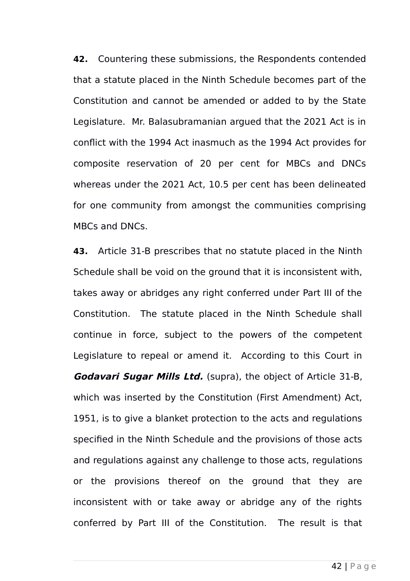**42.** Countering these submissions, the Respondents contended that a statute placed in the Ninth Schedule becomes part of the Constitution and cannot be amended or added to by the State Legislature. Mr. Balasubramanian argued that the 2021 Act is in conflict with the 1994 Act inasmuch as the 1994 Act provides for composite reservation of 20 per cent for MBCs and DNCs whereas under the 2021 Act, 10.5 per cent has been delineated for one community from amongst the communities comprising MBCs and DNCs.

**43.** Article 31-B prescribes that no statute placed in the Ninth Schedule shall be void on the ground that it is inconsistent with, takes away or abridges any right conferred under Part III of the Constitution. The statute placed in the Ninth Schedule shall continue in force, subject to the powers of the competent Legislature to repeal or amend it. According to this Court in **Godavari Sugar Mills Ltd.** (supra), the object of Article 31-B, which was inserted by the Constitution (First Amendment) Act, 1951, is to give a blanket protection to the acts and regulations specified in the Ninth Schedule and the provisions of those acts and regulations against any challenge to those acts, regulations or the provisions thereof on the ground that they are inconsistent with or take away or abridge any of the rights conferred by Part III of the Constitution. The result is that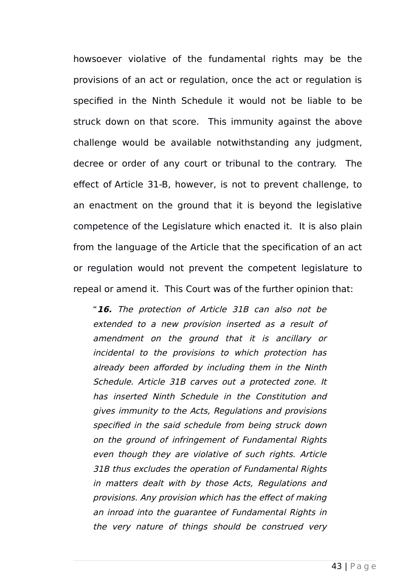howsoever violative of the fundamental rights may be the provisions of an act or regulation, once the act or regulation is specified in the Ninth Schedule it would not be liable to be struck down on that score. This immunity against the above challenge would be available notwithstanding any judgment, decree or order of any court or tribunal to the contrary. The effect of Article 31-B, however, is not to prevent challenge, to an enactment on the ground that it is beyond the legislative competence of the Legislature which enacted it. It is also plain from the language of the Article that the specification of an act or regulation would not prevent the competent legislature to repeal or amend it. This Court was of the further opinion that:

"**16.** The protection of Article 31B can also not be extended to a new provision inserted as a result of amendment on the ground that it is ancillary or incidental to the provisions to which protection has already been afforded by including them in the Ninth Schedule. Article 31B carves out a protected zone. It has inserted Ninth Schedule in the Constitution and gives immunity to the Acts, Regulations and provisions specified in the said schedule from being struck down on the ground of infringement of Fundamental Rights even though they are violative of such rights. Article 31B thus excludes the operation of Fundamental Rights in matters dealt with by those Acts, Regulations and provisions. Any provision which has the effect of making an inroad into the guarantee of Fundamental Rights in the very nature of things should be construed very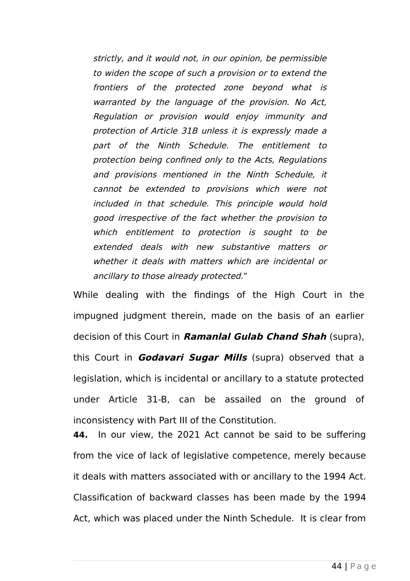strictly, and it would not, in our opinion, be permissible to widen the scope of such a provision or to extend the frontiers of the protected zone beyond what is warranted by the language of the provision. No Act, Regulation or provision would enjoy immunity and protection of Article 31B unless it is expressly made a part of the Ninth Schedule. The entitlement to protection being confined only to the Acts, Regulations and provisions mentioned in the Ninth Schedule, it cannot be extended to provisions which were not included in that schedule. This principle would hold good irrespective of the fact whether the provision to which entitlement to protection is sought to be extended deals with new substantive matters or whether it deals with matters which are incidental or ancillary to those already protected."

While dealing with the findings of the High Court in the impugned judgment therein, made on the basis of an earlier decision of this Court in **Ramanlal Gulab Chand Shah** (supra), this Court in **Godavari Sugar Mills** (supra) observed that a legislation, which is incidental or ancillary to a statute protected under Article 31-B, can be assailed on the ground of inconsistency with Part III of the Constitution.

**44.** In our view, the 2021 Act cannot be said to be suffering from the vice of lack of legislative competence, merely because it deals with matters associated with or ancillary to the 1994 Act. Classification of backward classes has been made by the 1994 Act, which was placed under the Ninth Schedule. It is clear from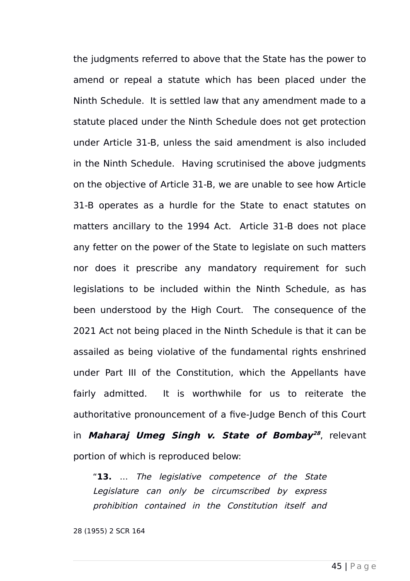the judgments referred to above that the State has the power to amend or repeal a statute which has been placed under the Ninth Schedule. It is settled law that any amendment made to a statute placed under the Ninth Schedule does not get protection under Article 31-B, unless the said amendment is also included in the Ninth Schedule. Having scrutinised the above judgments on the objective of Article 31-B, we are unable to see how Article 31-B operates as a hurdle for the State to enact statutes on matters ancillary to the 1994 Act. Article 31-B does not place any fetter on the power of the State to legislate on such matters nor does it prescribe any mandatory requirement for such legislations to be included within the Ninth Schedule, as has been understood by the High Court. The consequence of the 2021 Act not being placed in the Ninth Schedule is that it can be assailed as being violative of the fundamental rights enshrined under Part III of the Constitution, which the Appellants have fairly admitted. It is worthwhile for us to reiterate the authoritative pronouncement of a five-Judge Bench of this Court in **Maharaj Umeg Singh v. State of Bombay [28](#page-44-0)** , relevant portion of which is reproduced below:

"**13.** … The legislative competence of the State Legislature can only be circumscribed by express prohibition contained in the Constitution itself and

<span id="page-44-0"></span>28 (1955) 2 SCR 164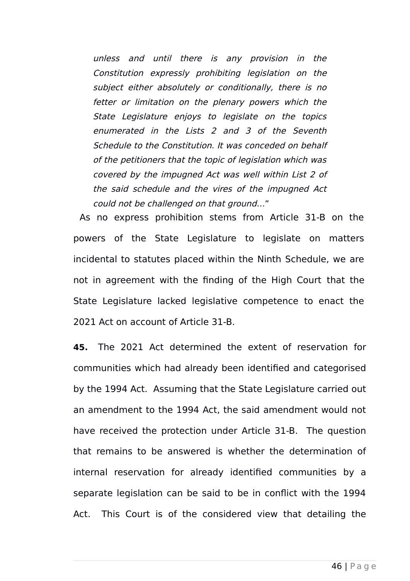unless and until there is any provision in the Constitution expressly prohibiting legislation on the subject either absolutely or conditionally, there is no fetter or limitation on the plenary powers which the State Legislature enjoys to legislate on the topics enumerated in the Lists 2 and 3 of the Seventh Schedule to the Constitution. It was conceded on behalf of the petitioners that the topic of legislation which was covered by the impugned Act was well within List 2 of the said schedule and the vires of the impugned Act could not be challenged on that ground…"

 As no express prohibition stems from Article 31-B on the powers of the State Legislature to legislate on matters incidental to statutes placed within the Ninth Schedule, we are not in agreement with the finding of the High Court that the State Legislature lacked legislative competence to enact the 2021 Act on account of Article 31-B.

**45.** The 2021 Act determined the extent of reservation for communities which had already been identified and categorised by the 1994 Act. Assuming that the State Legislature carried out an amendment to the 1994 Act, the said amendment would not have received the protection under Article 31-B. The question that remains to be answered is whether the determination of internal reservation for already identified communities by a separate legislation can be said to be in conflict with the 1994 Act. This Court is of the considered view that detailing the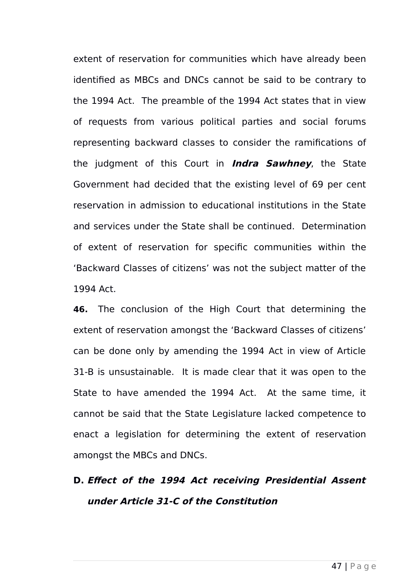extent of reservation for communities which have already been identified as MBCs and DNCs cannot be said to be contrary to the 1994 Act. The preamble of the 1994 Act states that in view of requests from various political parties and social forums representing backward classes to consider the ramifications of the judgment of this Court in **Indra Sawhney**, the State Government had decided that the existing level of 69 per cent reservation in admission to educational institutions in the State and services under the State shall be continued. Determination of extent of reservation for specific communities within the 'Backward Classes of citizens' was not the subject matter of the 1994 Act.

**46.** The conclusion of the High Court that determining the extent of reservation amongst the 'Backward Classes of citizens' can be done only by amending the 1994 Act in view of Article 31-B is unsustainable. It is made clear that it was open to the State to have amended the 1994 Act. At the same time, it cannot be said that the State Legislature lacked competence to enact a legislation for determining the extent of reservation amongst the MBCs and DNCs.

## **D. Effect of the 1994 Act receiving Presidential Assent under Article 31-C of the Constitution**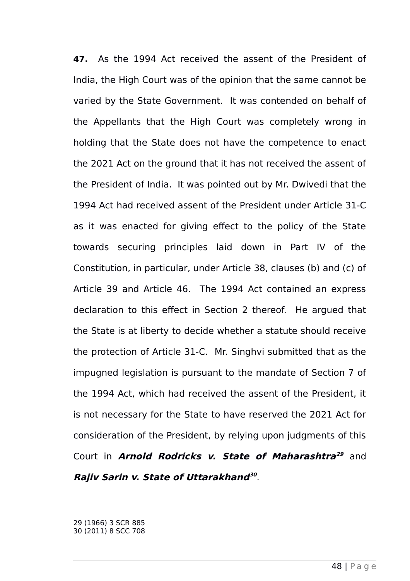**47.** As the 1994 Act received the assent of the President of India, the High Court was of the opinion that the same cannot be varied by the State Government. It was contended on behalf of the Appellants that the High Court was completely wrong in holding that the State does not have the competence to enact the 2021 Act on the ground that it has not received the assent of the President of India. It was pointed out by Mr. Dwivedi that the 1994 Act had received assent of the President under Article 31-C as it was enacted for giving effect to the policy of the State towards securing principles laid down in Part IV of the Constitution, in particular, under Article 38, clauses (b) and (c) of Article 39 and Article 46. The 1994 Act contained an express declaration to this effect in Section 2 thereof. He argued that the State is at liberty to decide whether a statute should receive the protection of Article 31-C. Mr. Singhvi submitted that as the impugned legislation is pursuant to the mandate of Section 7 of the 1994 Act, which had received the assent of the President, it is not necessary for the State to have reserved the 2021 Act for consideration of the President, by relying upon judgments of this Court in **Arnold Rodricks v. State of Maharashtra [29](#page-47-0)** and **Rajiv Sarin v. State of Uttarakhand [30](#page-47-1)** .

<span id="page-47-1"></span><span id="page-47-0"></span>29 (1966) 3 SCR 885 30 (2011) 8 SCC 708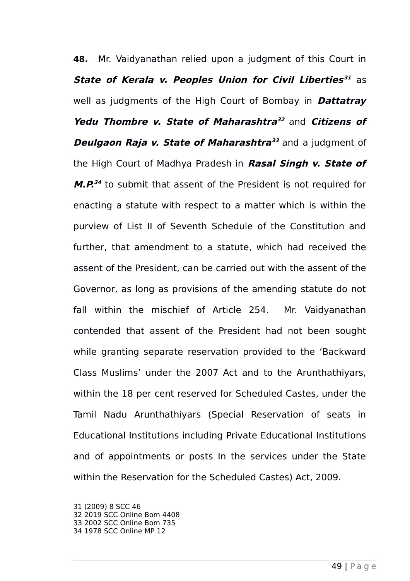**48.** Mr. Vaidyanathan relied upon a judgment of this Court in **State of Kerala v. Peoples Union for Civil Liberties [31](#page-48-0)** as well as judgments of the High Court of Bombay in **Dattatray Yedu Thombre v. State of Maharashtra [32](#page-48-1)** and **Citizens of Deulgaon Raja v. State of Maharashtra** $^{33}$  $^{33}$  $^{33}$  and a judgment of the High Court of Madhya Pradesh in **Rasal Singh v. State of M.P. [34](#page-48-3)** to submit that assent of the President is not required for enacting a statute with respect to a matter which is within the purview of List II of Seventh Schedule of the Constitution and further, that amendment to a statute, which had received the assent of the President, can be carried out with the assent of the Governor, as long as provisions of the amending statute do not fall within the mischief of Article 254. Mr. Vaidyanathan contended that assent of the President had not been sought while granting separate reservation provided to the 'Backward Class Muslims' under the 2007 Act and to the Arunthathiyars, within the 18 per cent reserved for Scheduled Castes, under the Tamil Nadu Arunthathiyars (Special Reservation of seats in Educational Institutions including Private Educational Institutions and of appointments or posts In the services under the State within the Reservation for the Scheduled Castes) Act, 2009.

<span id="page-48-3"></span><span id="page-48-2"></span><span id="page-48-1"></span><span id="page-48-0"></span>31 (2009) 8 SCC 46 32 2019 SCC Online Bom 4408 33 2002 SCC Online Bom 735 34 1978 SCC Online MP 12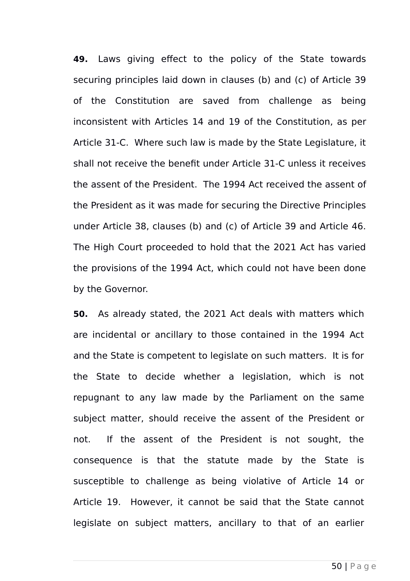**49.** Laws giving effect to the policy of the State towards securing principles laid down in clauses (b) and (c) of Article 39 of the Constitution are saved from challenge as being inconsistent with Articles 14 and 19 of the Constitution, as per Article 31-C. Where such law is made by the State Legislature, it shall not receive the benefit under Article 31-C unless it receives the assent of the President. The 1994 Act received the assent of the President as it was made for securing the Directive Principles under Article 38, clauses (b) and (c) of Article 39 and Article 46. The High Court proceeded to hold that the 2021 Act has varied the provisions of the 1994 Act, which could not have been done by the Governor.

**50.** As already stated, the 2021 Act deals with matters which are incidental or ancillary to those contained in the 1994 Act and the State is competent to legislate on such matters. It is for the State to decide whether a legislation, which is not repugnant to any law made by the Parliament on the same subject matter, should receive the assent of the President or not. If the assent of the President is not sought, the consequence is that the statute made by the State is susceptible to challenge as being violative of Article 14 or Article 19. However, it cannot be said that the State cannot legislate on subject matters, ancillary to that of an earlier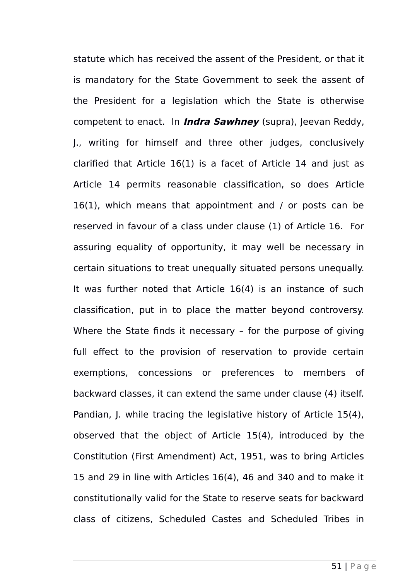statute which has received the assent of the President, or that it is mandatory for the State Government to seek the assent of the President for a legislation which the State is otherwise competent to enact. In **Indra Sawhney** (supra), Jeevan Reddy, J., writing for himself and three other judges, conclusively clarified that Article 16(1) is a facet of Article 14 and just as Article 14 permits reasonable classification, so does Article 16(1), which means that appointment and / or posts can be reserved in favour of a class under clause (1) of Article 16. For assuring equality of opportunity, it may well be necessary in certain situations to treat unequally situated persons unequally. It was further noted that Article 16(4) is an instance of such classification, put in to place the matter beyond controversy. Where the State finds it necessary – for the purpose of giving full effect to the provision of reservation to provide certain exemptions, concessions or preferences to members of backward classes, it can extend the same under clause (4) itself. Pandian, J. while tracing the legislative history of Article 15(4), observed that the object of Article 15(4), introduced by the Constitution (First Amendment) Act, 1951, was to bring Articles 15 and 29 in line with Articles 16(4), 46 and 340 and to make it constitutionally valid for the State to reserve seats for backward class of citizens, Scheduled Castes and Scheduled Tribes in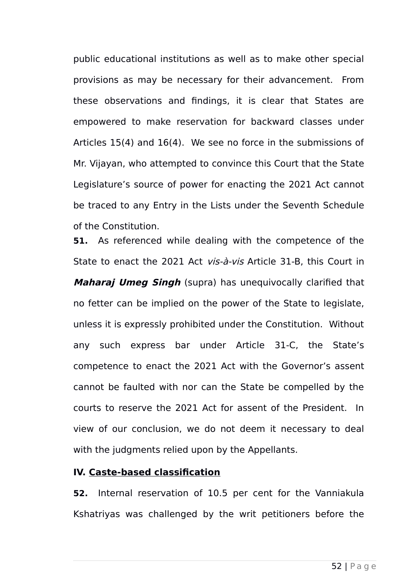public educational institutions as well as to make other special provisions as may be necessary for their advancement. From these observations and findings, it is clear that States are empowered to make reservation for backward classes under Articles 15(4) and 16(4). We see no force in the submissions of Mr. Vijayan, who attempted to convince this Court that the State Legislature's source of power for enacting the 2021 Act cannot be traced to any Entry in the Lists under the Seventh Schedule of the Constitution.

**51.** As referenced while dealing with the competence of the State to enact the 2021 Act vis-à-vis Article 31-B, this Court in **Maharaj Umeg Singh** (supra) has unequivocally clarified that no fetter can be implied on the power of the State to legislate, unless it is expressly prohibited under the Constitution. Without any such express bar under Article 31-C, the State's competence to enact the 2021 Act with the Governor's assent cannot be faulted with nor can the State be compelled by the courts to reserve the 2021 Act for assent of the President. In view of our conclusion, we do not deem it necessary to deal with the judgments relied upon by the Appellants.

## **IV. Caste-based classification**

**52.** Internal reservation of 10.5 per cent for the Vanniakula Kshatriyas was challenged by the writ petitioners before the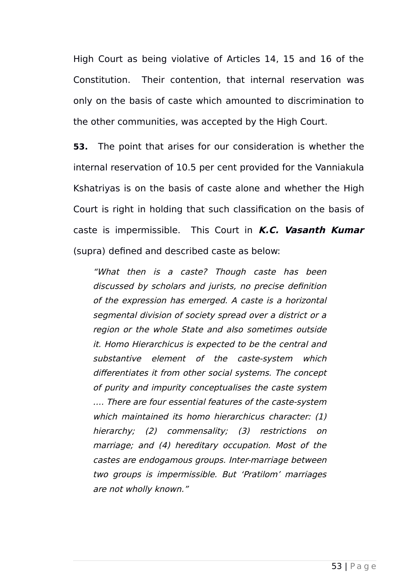High Court as being violative of Articles 14, 15 and 16 of the Constitution. Their contention, that internal reservation was only on the basis of caste which amounted to discrimination to the other communities, was accepted by the High Court.

**53.** The point that arises for our consideration is whether the internal reservation of 10.5 per cent provided for the Vanniakula Kshatriyas is on the basis of caste alone and whether the High Court is right in holding that such classification on the basis of caste is impermissible. This Court in **K.C. Vasanth Kumar** (supra) defined and described caste as below:

"What then is <sup>a</sup> caste? Though caste has been discussed by scholars and jurists, no precise definition of the expression has emerged. A caste is a horizontal segmental division of society spread over a district or a region or the whole State and also sometimes outside it. Homo Hierarchicus is expected to be the central and substantive element of the caste-system which differentiates it from other social systems. The concept of purity and impurity conceptualises the caste system …. There are four essential features of the caste-system which maintained its homo hierarchicus character: (1) hierarchy; (2) commensality; (3) restrictions on marriage; and (4) hereditary occupation. Most of the castes are endogamous groups. Inter-marriage between two groups is impermissible. But 'Pratilom' marriages are not wholly known."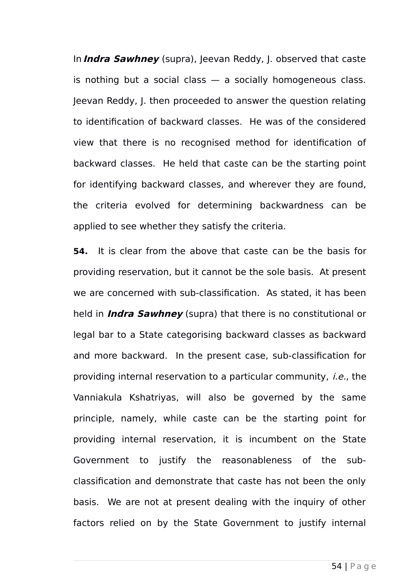In **Indra Sawhney** (supra), Jeevan Reddy, J. observed that caste is nothing but a social class — a socially homogeneous class. Jeevan Reddy, J. then proceeded to answer the question relating to identification of backward classes. He was of the considered view that there is no recognised method for identification of backward classes. He held that caste can be the starting point for identifying backward classes, and wherever they are found, the criteria evolved for determining backwardness can be applied to see whether they satisfy the criteria.

**54.** It is clear from the above that caste can be the basis for providing reservation, but it cannot be the sole basis. At present we are concerned with sub-classification. As stated, it has been held in **Indra Sawhney** (supra) that there is no constitutional or legal bar to a State categorising backward classes as backward and more backward. In the present case, sub-classification for providing internal reservation to a particular community, i.e., the Vanniakula Kshatriyas, will also be governed by the same principle, namely, while caste can be the starting point for providing internal reservation, it is incumbent on the State Government to justify the reasonableness of the subclassification and demonstrate that caste has not been the only basis. We are not at present dealing with the inquiry of other factors relied on by the State Government to justify internal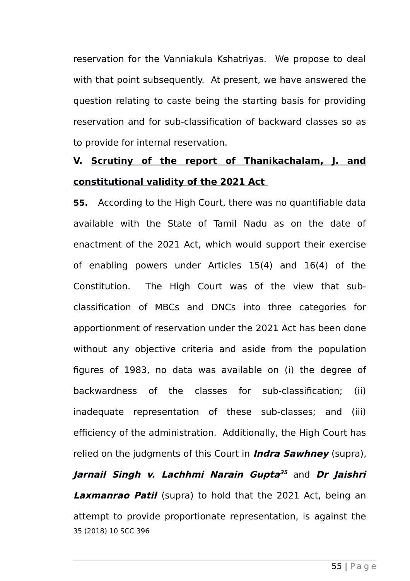reservation for the Vanniakula Kshatriyas. We propose to deal with that point subsequently. At present, we have answered the question relating to caste being the starting basis for providing reservation and for sub-classification of backward classes so as to provide for internal reservation.

## **V. Scrutiny of the report of Thanikachalam, J. and constitutional validity of the 2021 Act**

**55.** According to the High Court, there was no quantifiable data available with the State of Tamil Nadu as on the date of enactment of the 2021 Act, which would support their exercise of enabling powers under Articles 15(4) and 16(4) of the Constitution. The High Court was of the view that subclassification of MBCs and DNCs into three categories for apportionment of reservation under the 2021 Act has been done without any objective criteria and aside from the population figures of 1983, no data was available on (i) the degree of backwardness of the classes for sub-classification; (ii) inadequate representation of these sub-classes; and (iii) efficiency of the administration. Additionally, the High Court has relied on the judgments of this Court in **Indra Sawhney** (supra),

<span id="page-54-0"></span>**Jarnail Singh v. Lachhmi Narain Gupta [35](#page-54-0)** and **Dr Jaishri Laxmanrao Patil** (supra) to hold that the 2021 Act, being an attempt to provide proportionate representation, is against the 35 (2018) 10 SCC 396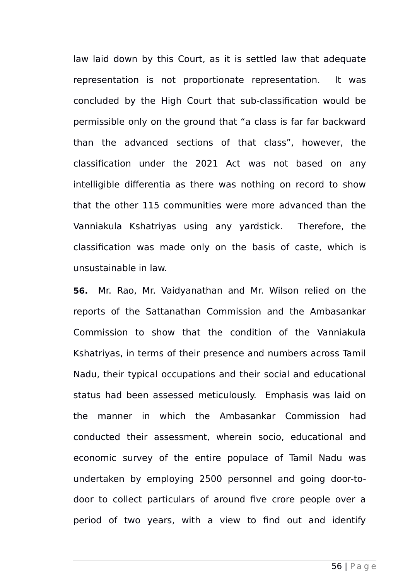law laid down by this Court, as it is settled law that adequate representation is not proportionate representation. It was concluded by the High Court that sub-classification would be permissible only on the ground that "a class is far far backward than the advanced sections of that class", however, the classification under the 2021 Act was not based on any intelligible differentia as there was nothing on record to show that the other 115 communities were more advanced than the Vanniakula Kshatriyas using any yardstick. Therefore, the classification was made only on the basis of caste, which is unsustainable in law.

**56.** Mr. Rao, Mr. Vaidyanathan and Mr. Wilson relied on the reports of the Sattanathan Commission and the Ambasankar Commission to show that the condition of the Vanniakula Kshatriyas, in terms of their presence and numbers across Tamil Nadu, their typical occupations and their social and educational status had been assessed meticulously. Emphasis was laid on the manner in which the Ambasankar Commission had conducted their assessment, wherein socio, educational and economic survey of the entire populace of Tamil Nadu was undertaken by employing 2500 personnel and going door-todoor to collect particulars of around five crore people over a period of two years, with a view to find out and identify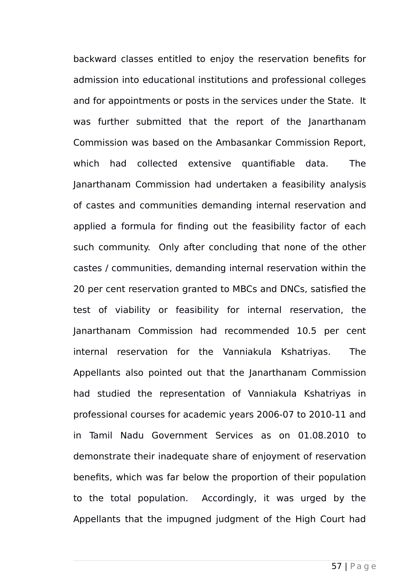backward classes entitled to enjoy the reservation benefits for admission into educational institutions and professional colleges and for appointments or posts in the services under the State. It was further submitted that the report of the Janarthanam Commission was based on the Ambasankar Commission Report, which had collected extensive quantifiable data. The Janarthanam Commission had undertaken a feasibility analysis of castes and communities demanding internal reservation and applied a formula for finding out the feasibility factor of each such community. Only after concluding that none of the other castes / communities, demanding internal reservation within the 20 per cent reservation granted to MBCs and DNCs, satisfied the test of viability or feasibility for internal reservation, the Janarthanam Commission had recommended 10.5 per cent internal reservation for the Vanniakula Kshatriyas. The Appellants also pointed out that the Janarthanam Commission had studied the representation of Vanniakula Kshatriyas in professional courses for academic years 2006-07 to 2010-11 and in Tamil Nadu Government Services as on 01.08.2010 to demonstrate their inadequate share of enjoyment of reservation benefits, which was far below the proportion of their population to the total population. Accordingly, it was urged by the Appellants that the impugned judgment of the High Court had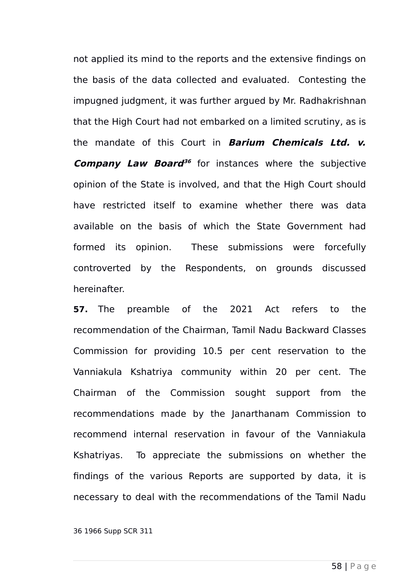not applied its mind to the reports and the extensive findings on the basis of the data collected and evaluated. Contesting the impugned judgment, it was further argued by Mr. Radhakrishnan that the High Court had not embarked on a limited scrutiny, as is the mandate of this Court in **Barium Chemicals Ltd. v. Company Law Board [36](#page-57-0)** for instances where the subjective opinion of the State is involved, and that the High Court should have restricted itself to examine whether there was data available on the basis of which the State Government had formed its opinion. These submissions were forcefully controverted by the Respondents, on grounds discussed hereinafter.

**57.** The preamble of the 2021 Act refers to the recommendation of the Chairman, Tamil Nadu Backward Classes Commission for providing 10.5 per cent reservation to the Vanniakula Kshatriya community within 20 per cent. The Chairman of the Commission sought support from the recommendations made by the Janarthanam Commission to recommend internal reservation in favour of the Vanniakula Kshatriyas. To appreciate the submissions on whether the findings of the various Reports are supported by data, it is necessary to deal with the recommendations of the Tamil Nadu

<span id="page-57-0"></span>36 1966 Supp SCR 311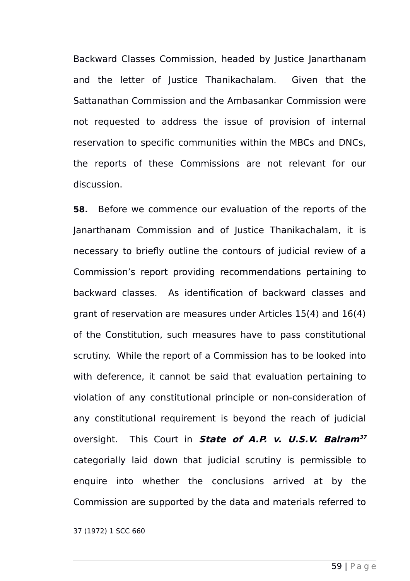Backward Classes Commission, headed by Justice Janarthanam and the letter of Justice Thanikachalam. Given that the Sattanathan Commission and the Ambasankar Commission were not requested to address the issue of provision of internal reservation to specific communities within the MBCs and DNCs, the reports of these Commissions are not relevant for our discussion.

**58.** Before we commence our evaluation of the reports of the Janarthanam Commission and of Justice Thanikachalam, it is necessary to briefly outline the contours of judicial review of a Commission's report providing recommendations pertaining to backward classes. As identification of backward classes and grant of reservation are measures under Articles 15(4) and 16(4) of the Constitution, such measures have to pass constitutional scrutiny. While the report of a Commission has to be looked into with deference, it cannot be said that evaluation pertaining to violation of any constitutional principle or non-consideration of any constitutional requirement is beyond the reach of judicial oversight. This Court in **State of A.P. v. U.S.V. Balram[37](#page-58-0)** categorially laid down that judicial scrutiny is permissible to enquire into whether the conclusions arrived at by the Commission are supported by the data and materials referred to

<span id="page-58-0"></span>37 (1972) 1 SCC 660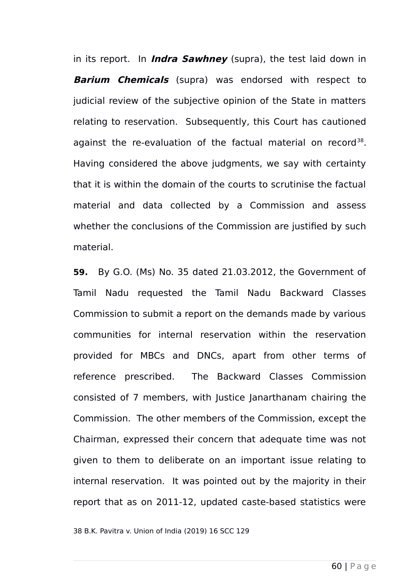in its report. In **Indra Sawhney** (supra), the test laid down in **Barium Chemicals** (supra) was endorsed with respect to judicial review of the subjective opinion of the State in matters relating to reservation. Subsequently, this Court has cautioned against the re-evaluation of the factual material on record<sup>[38](#page-59-0)</sup>. Having considered the above judgments, we say with certainty that it is within the domain of the courts to scrutinise the factual material and data collected by a Commission and assess whether the conclusions of the Commission are justified by such material.

**59.** By G.O. (Ms) No. 35 dated 21.03.2012, the Government of Tamil Nadu requested the Tamil Nadu Backward Classes Commission to submit a report on the demands made by various communities for internal reservation within the reservation provided for MBCs and DNCs, apart from other terms of reference prescribed. The Backward Classes Commission consisted of 7 members, with Justice Janarthanam chairing the Commission. The other members of the Commission, except the Chairman, expressed their concern that adequate time was not given to them to deliberate on an important issue relating to internal reservation. It was pointed out by the majority in their report that as on 2011-12, updated caste-based statistics were

<span id="page-59-0"></span>38 B.K. Pavitra v. Union of India (2019) 16 SCC 129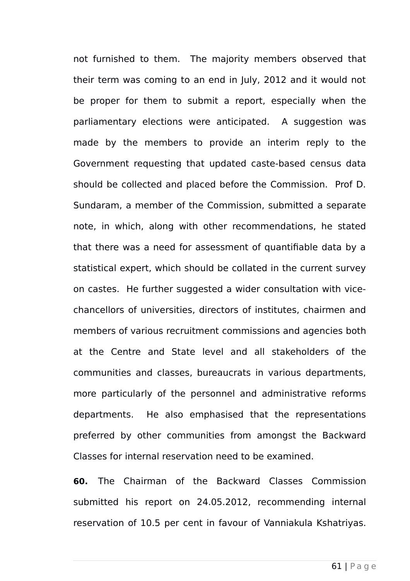not furnished to them. The majority members observed that their term was coming to an end in July, 2012 and it would not be proper for them to submit a report, especially when the parliamentary elections were anticipated. A suggestion was made by the members to provide an interim reply to the Government requesting that updated caste-based census data should be collected and placed before the Commission. Prof D. Sundaram, a member of the Commission, submitted a separate note, in which, along with other recommendations, he stated that there was a need for assessment of quantifiable data by a statistical expert, which should be collated in the current survey on castes. He further suggested a wider consultation with vicechancellors of universities, directors of institutes, chairmen and members of various recruitment commissions and agencies both at the Centre and State level and all stakeholders of the communities and classes, bureaucrats in various departments, more particularly of the personnel and administrative reforms departments. He also emphasised that the representations preferred by other communities from amongst the Backward Classes for internal reservation need to be examined.

**60.** The Chairman of the Backward Classes Commission submitted his report on 24.05.2012, recommending internal reservation of 10.5 per cent in favour of Vanniakula Kshatriyas.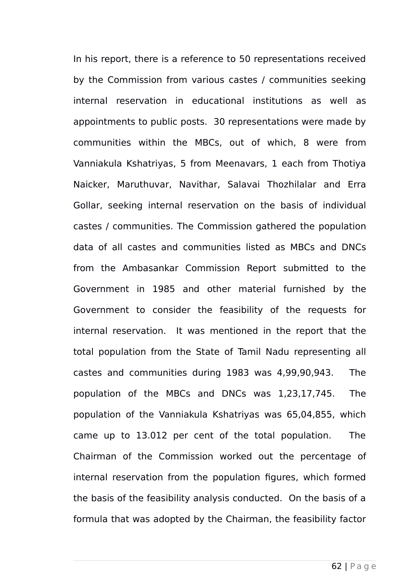In his report, there is a reference to 50 representations received by the Commission from various castes / communities seeking internal reservation in educational institutions as well as appointments to public posts. 30 representations were made by communities within the MBCs, out of which, 8 were from Vanniakula Kshatriyas, 5 from Meenavars, 1 each from Thotiya Naicker, Maruthuvar, Navithar, Salavai Thozhilalar and Erra Gollar, seeking internal reservation on the basis of individual castes / communities. The Commission gathered the population data of all castes and communities listed as MBCs and DNCs from the Ambasankar Commission Report submitted to the Government in 1985 and other material furnished by the Government to consider the feasibility of the requests for internal reservation. It was mentioned in the report that the total population from the State of Tamil Nadu representing all castes and communities during 1983 was 4,99,90,943. The population of the MBCs and DNCs was 1,23,17,745. The population of the Vanniakula Kshatriyas was 65,04,855, which came up to 13.012 per cent of the total population. The Chairman of the Commission worked out the percentage of internal reservation from the population figures, which formed the basis of the feasibility analysis conducted. On the basis of a formula that was adopted by the Chairman, the feasibility factor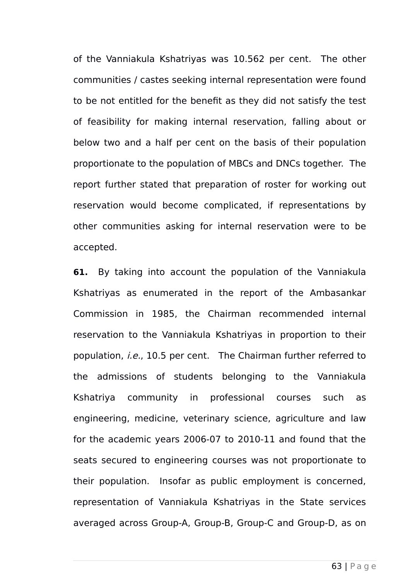of the Vanniakula Kshatriyas was 10.562 per cent. The other communities / castes seeking internal representation were found to be not entitled for the benefit as they did not satisfy the test of feasibility for making internal reservation, falling about or below two and a half per cent on the basis of their population proportionate to the population of MBCs and DNCs together. The report further stated that preparation of roster for working out reservation would become complicated, if representations by other communities asking for internal reservation were to be accepted.

**61.** By taking into account the population of the Vanniakula Kshatriyas as enumerated in the report of the Ambasankar Commission in 1985, the Chairman recommended internal reservation to the Vanniakula Kshatriyas in proportion to their population, i.e., 10.5 per cent. The Chairman further referred to the admissions of students belonging to the Vanniakula Kshatriya community in professional courses such as engineering, medicine, veterinary science, agriculture and law for the academic years 2006-07 to 2010-11 and found that the seats secured to engineering courses was not proportionate to their population. Insofar as public employment is concerned, representation of Vanniakula Kshatriyas in the State services averaged across Group-A, Group-B, Group-C and Group-D, as on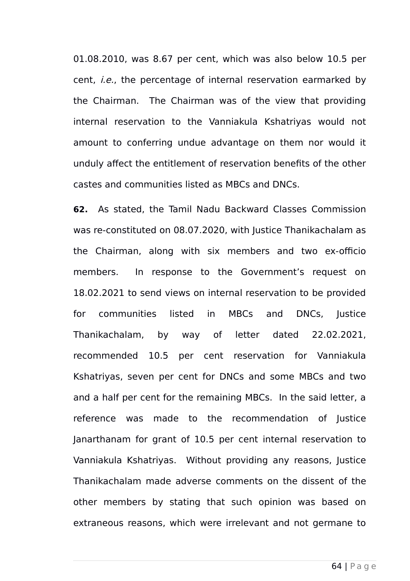01.08.2010, was 8.67 per cent, which was also below 10.5 per cent, i.e., the percentage of internal reservation earmarked by the Chairman. The Chairman was of the view that providing internal reservation to the Vanniakula Kshatriyas would not amount to conferring undue advantage on them nor would it unduly affect the entitlement of reservation benefits of the other castes and communities listed as MBCs and DNCs.

**62.** As stated, the Tamil Nadu Backward Classes Commission was re-constituted on 08.07.2020, with Justice Thanikachalam as the Chairman, along with six members and two ex-officio members. In response to the Government's request on 18.02.2021 to send views on internal reservation to be provided for communities listed in MBCs and DNCs, Justice Thanikachalam, by way of letter dated 22.02.2021, recommended 10.5 per cent reservation for Vanniakula Kshatriyas, seven per cent for DNCs and some MBCs and two and a half per cent for the remaining MBCs. In the said letter, a reference was made to the recommendation of Justice Janarthanam for grant of 10.5 per cent internal reservation to Vanniakula Kshatriyas. Without providing any reasons, Justice Thanikachalam made adverse comments on the dissent of the other members by stating that such opinion was based on extraneous reasons, which were irrelevant and not germane to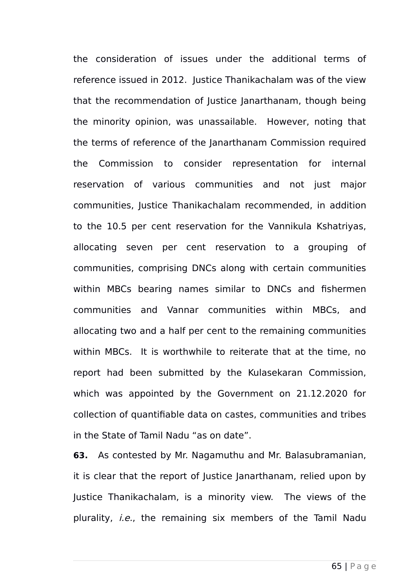the consideration of issues under the additional terms of reference issued in 2012. Justice Thanikachalam was of the view that the recommendation of Justice Janarthanam, though being the minority opinion, was unassailable. However, noting that the terms of reference of the Janarthanam Commission required the Commission to consider representation for internal reservation of various communities and not just major communities, Justice Thanikachalam recommended, in addition to the 10.5 per cent reservation for the Vannikula Kshatriyas, allocating seven per cent reservation to a grouping of communities, comprising DNCs along with certain communities within MBCs bearing names similar to DNCs and fishermen communities and Vannar communities within MBCs, and allocating two and a half per cent to the remaining communities within MBCs. It is worthwhile to reiterate that at the time, no report had been submitted by the Kulasekaran Commission, which was appointed by the Government on 21.12.2020 for collection of quantifiable data on castes, communities and tribes in the State of Tamil Nadu "as on date".

**63.** As contested by Mr. Nagamuthu and Mr. Balasubramanian, it is clear that the report of Justice Janarthanam, relied upon by Justice Thanikachalam, is a minority view. The views of the plurality, *i.e.*, the remaining six members of the Tamil Nadu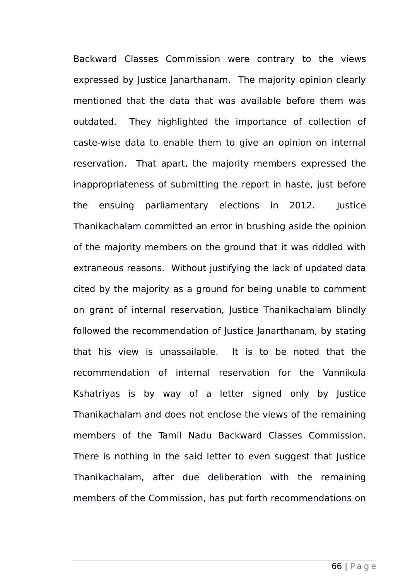Backward Classes Commission were contrary to the views expressed by Justice Janarthanam. The majority opinion clearly mentioned that the data that was available before them was outdated. They highlighted the importance of collection of caste-wise data to enable them to give an opinion on internal reservation. That apart, the majority members expressed the inappropriateness of submitting the report in haste, just before the ensuing parliamentary elections in 2012. Justice Thanikachalam committed an error in brushing aside the opinion of the majority members on the ground that it was riddled with extraneous reasons. Without justifying the lack of updated data cited by the majority as a ground for being unable to comment on grant of internal reservation, Justice Thanikachalam blindly followed the recommendation of Justice Janarthanam, by stating that his view is unassailable. It is to be noted that the recommendation of internal reservation for the Vannikula Kshatriyas is by way of a letter signed only by Justice Thanikachalam and does not enclose the views of the remaining members of the Tamil Nadu Backward Classes Commission. There is nothing in the said letter to even suggest that Justice Thanikachalam, after due deliberation with the remaining members of the Commission, has put forth recommendations on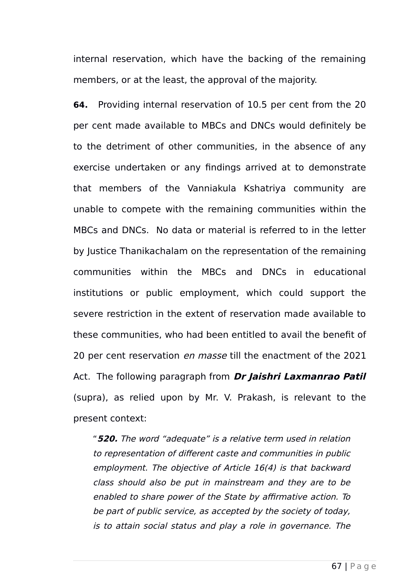internal reservation, which have the backing of the remaining members, or at the least, the approval of the majority.

**64.** Providing internal reservation of 10.5 per cent from the 20 per cent made available to MBCs and DNCs would definitely be to the detriment of other communities, in the absence of any exercise undertaken or any findings arrived at to demonstrate that members of the Vanniakula Kshatriya community are unable to compete with the remaining communities within the MBCs and DNCs. No data or material is referred to in the letter by Justice Thanikachalam on the representation of the remaining communities within the MBCs and DNCs in educational institutions or public employment, which could support the severe restriction in the extent of reservation made available to these communities, who had been entitled to avail the benefit of 20 per cent reservation en masse till the enactment of the 2021 Act. The following paragraph from **Dr Jaishri Laxmanrao Patil** (supra), as relied upon by Mr. V. Prakash, is relevant to the present context:

"**520.** The word "adequate" is a relative term used in relation to representation of different caste and communities in public employment. The objective of Article 16(4) is that backward class should also be put in mainstream and they are to be enabled to share power of the State by affirmative action. To be part of public service, as accepted by the society of today, is to attain social status and play a role in governance. The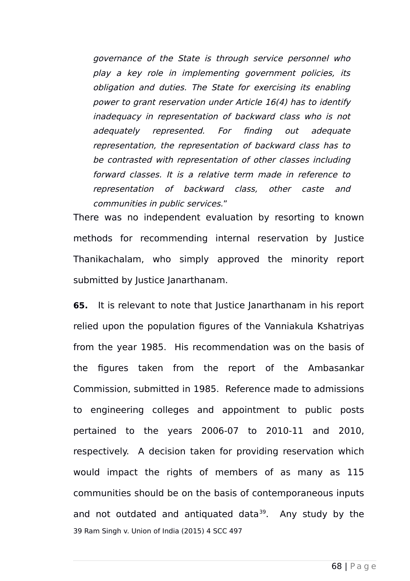governance of the State is through service personnel who play <sup>a</sup> key role in implementing government policies, its obligation and duties. The State for exercising its enabling power to grant reservation under Article 16(4) has to identify inadequacy in representation of backward class who is not adequately represented. For finding out adequate representation, the representation of backward class has to be contrasted with representation of other classes including forward classes. It is a relative term made in reference to representation of backward class, other caste and communities in public services."

There was no independent evaluation by resorting to known methods for recommending internal reservation by Justice Thanikachalam, who simply approved the minority report submitted by Justice Janarthanam.

<span id="page-67-0"></span>**65.** It is relevant to note that Justice Janarthanam in his report relied upon the population figures of the Vanniakula Kshatriyas from the year 1985. His recommendation was on the basis of the figures taken from the report of the Ambasankar Commission, submitted in 1985. Reference made to admissions to engineering colleges and appointment to public posts pertained to the years 2006-07 to 2010-11 and 2010, respectively. A decision taken for providing reservation which would impact the rights of members of as many as 115 communities should be on the basis of contemporaneous inputs and not outdated and antiquated data $39$ . Any study by the 39 Ram Singh v. Union of India (2015) 4 SCC 497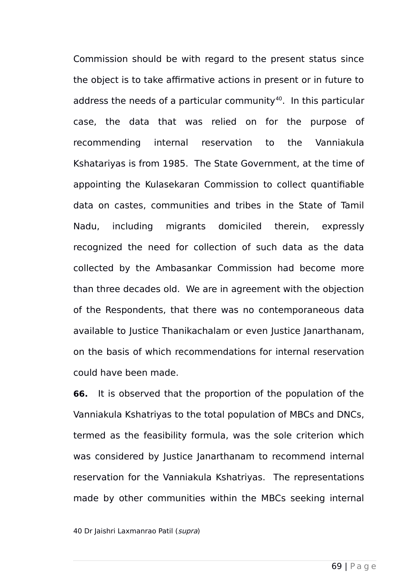Commission should be with regard to the present status since the object is to take affirmative actions in present or in future to address the needs of a particular community<sup>[40](#page-68-0)</sup>. In this particular case, the data that was relied on for the purpose of recommending internal reservation to the Vanniakula Kshatariyas is from 1985. The State Government, at the time of appointing the Kulasekaran Commission to collect quantifiable data on castes, communities and tribes in the State of Tamil Nadu, including migrants domiciled therein, expressly recognized the need for collection of such data as the data collected by the Ambasankar Commission had become more than three decades old. We are in agreement with the objection of the Respondents, that there was no contemporaneous data available to Justice Thanikachalam or even Justice Janarthanam, on the basis of which recommendations for internal reservation could have been made.

**66.** It is observed that the proportion of the population of the Vanniakula Kshatriyas to the total population of MBCs and DNCs, termed as the feasibility formula, was the sole criterion which was considered by Justice Janarthanam to recommend internal reservation for the Vanniakula Kshatriyas. The representations made by other communities within the MBCs seeking internal

<span id="page-68-0"></span>40 Dr Jaishri Laxmanrao Patil (supra)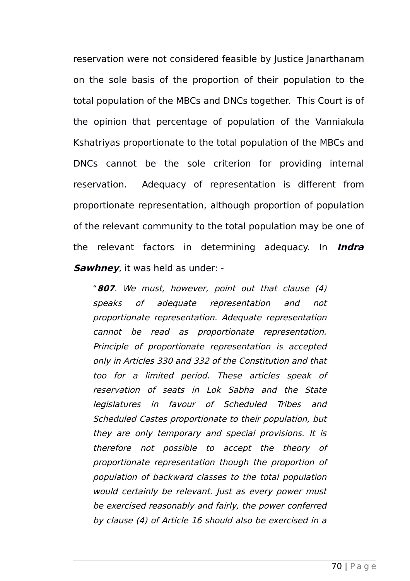reservation were not considered feasible by Justice Janarthanam on the sole basis of the proportion of their population to the total population of the MBCs and DNCs together. This Court is of the opinion that percentage of population of the Vanniakula Kshatriyas proportionate to the total population of the MBCs and DNCs cannot be the sole criterion for providing internal reservation. Adequacy of representation is different from proportionate representation, although proportion of population of the relevant community to the total population may be one of the relevant factors in determining adequacy. In **Indra Sawhney**, it was held as under: -

"**807**. We must, however, point out that clause (4) speaks of adequate representation and not proportionate representation. Adequate representation cannot be read as proportionate representation. Principle of proportionate representation is accepted only in Articles 330 and 332 of the Constitution and that too for <sup>a</sup> limited period. These articles speak of reservation of seats in Lok Sabha and the State legislatures in favour of Scheduled Tribes and Scheduled Castes proportionate to their population, but they are only temporary and special provisions. It is therefore not possible to accept the theory of proportionate representation though the proportion of population of backward classes to the total population would certainly be relevant. Just as every power must be exercised reasonably and fairly, the power conferred by clause (4) of Article 16 should also be exercised in a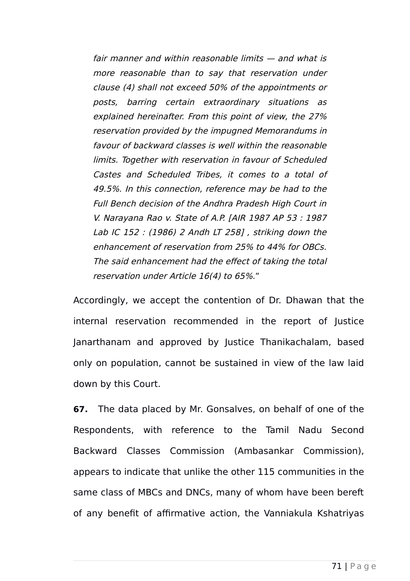fair manner and within reasonable limits — and what is more reasonable than to say that reservation under clause (4) shall not exceed 50% of the appointments or posts, barring certain extraordinary situations as explained hereinafter. From this point of view, the 27% reservation provided by the impugned Memorandums in favour of backward classes is well within the reasonable limits. Together with reservation in favour of Scheduled Castes and Scheduled Tribes, it comes to a total of 49.5%. In this connection, reference may be had to the Full Bench decision of the Andhra Pradesh High Court in V. Narayana Rao v. State of A.P. [AIR 1987 AP 53 : 1987 Lab IC 152 : (1986) 2 Andh LT 258] , striking down the enhancement of reservation from 25% to 44% for OBCs. The said enhancement had the effect of taking the total reservation under Article 16(4) to 65%."

Accordingly, we accept the contention of Dr. Dhawan that the internal reservation recommended in the report of Justice Janarthanam and approved by Justice Thanikachalam, based only on population, cannot be sustained in view of the law laid down by this Court.

**67.** The data placed by Mr. Gonsalves, on behalf of one of the Respondents, with reference to the Tamil Nadu Second Backward Classes Commission (Ambasankar Commission), appears to indicate that unlike the other 115 communities in the same class of MBCs and DNCs, many of whom have been bereft of any benefit of affirmative action, the Vanniakula Kshatriyas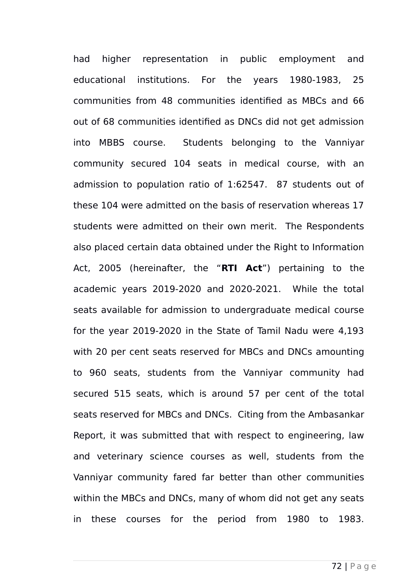had higher representation in public employment and educational institutions. For the years 1980-1983, 25 communities from 48 communities identified as MBCs and 66 out of 68 communities identified as DNCs did not get admission into MBBS course. Students belonging to the Vanniyar community secured 104 seats in medical course, with an admission to population ratio of 1:62547. 87 students out of these 104 were admitted on the basis of reservation whereas 17 students were admitted on their own merit. The Respondents also placed certain data obtained under the Right to Information Act, 2005 (hereinafter, the "**RTI Act**") pertaining to the academic years 2019-2020 and 2020-2021. While the total seats available for admission to undergraduate medical course for the year 2019-2020 in the State of Tamil Nadu were 4,193 with 20 per cent seats reserved for MBCs and DNCs amounting to 960 seats, students from the Vanniyar community had secured 515 seats, which is around 57 per cent of the total seats reserved for MBCs and DNCs. Citing from the Ambasankar Report, it was submitted that with respect to engineering, law and veterinary science courses as well, students from the Vanniyar community fared far better than other communities within the MBCs and DNCs, many of whom did not get any seats in these courses for the period from 1980 to 1983.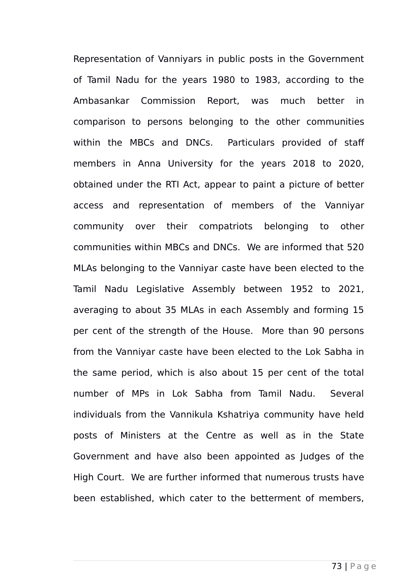Representation of Vanniyars in public posts in the Government of Tamil Nadu for the years 1980 to 1983, according to the Ambasankar Commission Report, was much better in comparison to persons belonging to the other communities within the MBCs and DNCs. Particulars provided of staff members in Anna University for the years 2018 to 2020, obtained under the RTI Act, appear to paint a picture of better access and representation of members of the Vanniyar community over their compatriots belonging to other communities within MBCs and DNCs. We are informed that 520 MLAs belonging to the Vanniyar caste have been elected to the Tamil Nadu Legislative Assembly between 1952 to 2021, averaging to about 35 MLAs in each Assembly and forming 15 per cent of the strength of the House. More than 90 persons from the Vanniyar caste have been elected to the Lok Sabha in the same period, which is also about 15 per cent of the total number of MPs in Lok Sabha from Tamil Nadu. Several individuals from the Vannikula Kshatriya community have held posts of Ministers at the Centre as well as in the State Government and have also been appointed as Judges of the High Court. We are further informed that numerous trusts have been established, which cater to the betterment of members,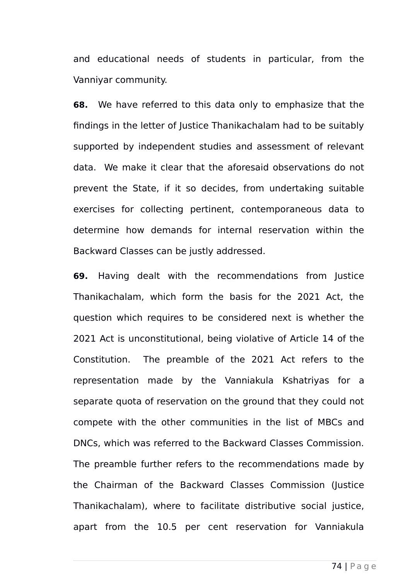and educational needs of students in particular, from the Vanniyar community.

**68.** We have referred to this data only to emphasize that the findings in the letter of Justice Thanikachalam had to be suitably supported by independent studies and assessment of relevant data. We make it clear that the aforesaid observations do not prevent the State, if it so decides, from undertaking suitable exercises for collecting pertinent, contemporaneous data to determine how demands for internal reservation within the Backward Classes can be justly addressed.

**69.** Having dealt with the recommendations from Justice Thanikachalam, which form the basis for the 2021 Act, the question which requires to be considered next is whether the 2021 Act is unconstitutional, being violative of Article 14 of the Constitution. The preamble of the 2021 Act refers to the representation made by the Vanniakula Kshatriyas for a separate quota of reservation on the ground that they could not compete with the other communities in the list of MBCs and DNCs, which was referred to the Backward Classes Commission. The preamble further refers to the recommendations made by the Chairman of the Backward Classes Commission (Justice Thanikachalam), where to facilitate distributive social justice, apart from the 10.5 per cent reservation for Vanniakula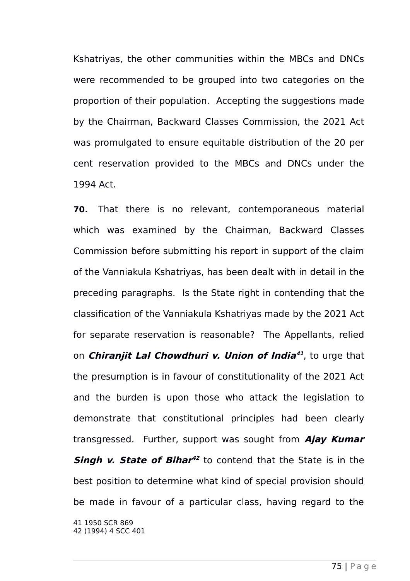Kshatriyas, the other communities within the MBCs and DNCs were recommended to be grouped into two categories on the proportion of their population. Accepting the suggestions made by the Chairman, Backward Classes Commission, the 2021 Act was promulgated to ensure equitable distribution of the 20 per cent reservation provided to the MBCs and DNCs under the 1994 Act.

<span id="page-74-1"></span><span id="page-74-0"></span>**70.** That there is no relevant, contemporaneous material which was examined by the Chairman, Backward Classes Commission before submitting his report in support of the claim of the Vanniakula Kshatriyas, has been dealt with in detail in the preceding paragraphs. Is the State right in contending that the classification of the Vanniakula Kshatriyas made by the 2021 Act for separate reservation is reasonable? The Appellants, relied on **Chiranjit Lal Chowdhuri v. Union of India [41](#page-74-0)** , to urge that the presumption is in favour of constitutionality of the 2021 Act and the burden is upon those who attack the legislation to demonstrate that constitutional principles had been clearly transgressed. Further, support was sought from **Ajay Kumar Singh v. State of Bihar [42](#page-74-1)** to contend that the State is in the best position to determine what kind of special provision should be made in favour of a particular class, having regard to the 41 1950 SCR 869 42 (1994) 4 SCC 401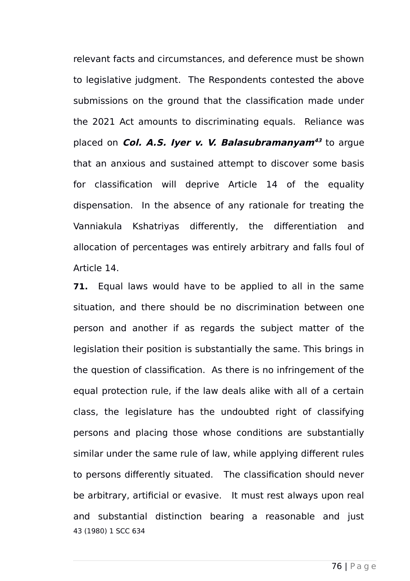relevant facts and circumstances, and deference must be shown to legislative judgment. The Respondents contested the above submissions on the ground that the classification made under the 2021 Act amounts to discriminating equals. Reliance was placed on **Col. A.S. Iyer v. V. Balasubramanyam[43](#page-75-0)** to argue that an anxious and sustained attempt to discover some basis for classification will deprive Article 14 of the equality dispensation. In the absence of any rationale for treating the Vanniakula Kshatriyas differently, the differentiation and allocation of percentages was entirely arbitrary and falls foul of Article 14.

<span id="page-75-0"></span>**71.** Equal laws would have to be applied to all in the same situation, and there should be no discrimination between one person and another if as regards the subject matter of the legislation their position is substantially the same. This brings in the question of classification. As there is no infringement of the equal protection rule, if the law deals alike with all of a certain class, the legislature has the undoubted right of classifying persons and placing those whose conditions are substantially similar under the same rule of law, while applying different rules to persons differently situated. The classification should never be arbitrary, artificial or evasive. It must rest always upon real and substantial distinction bearing a reasonable and just 43 (1980) 1 SCC 634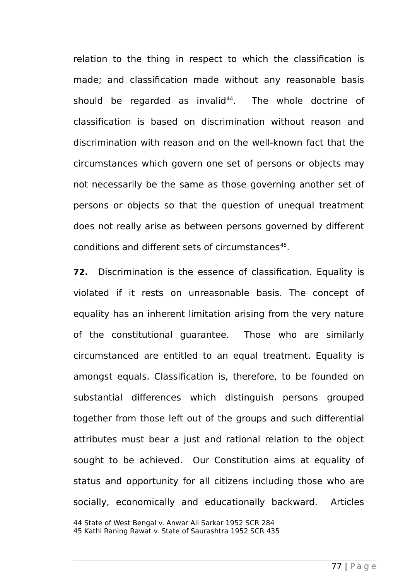relation to the thing in respect to which the classification is made; and classification made without any reasonable basis should be regarded as invalid $44$ . The whole doctrine of classification is based on discrimination without reason and discrimination with reason and on the well-known fact that the circumstances which govern one set of persons or objects may not necessarily be the same as those governing another set of persons or objects so that the question of unequal treatment does not really arise as between persons governed by different conditions and different sets of circumstances<sup>[45](#page-76-1)</sup>.

**72.** Discrimination is the essence of classification. Equality is violated if it rests on unreasonable basis. The concept of equality has an inherent limitation arising from the very nature of the constitutional guarantee. Those who are similarly circumstanced are entitled to an equal treatment. Equality is amongst equals. Classification is, therefore, to be founded on substantial differences which distinguish persons grouped together from those left out of the groups and such differential attributes must bear a just and rational relation to the object sought to be achieved. Our Constitution aims at equality of status and opportunity for all citizens including those who are socially, economically and educationally backward. Articles

<span id="page-76-1"></span><span id="page-76-0"></span>44 State of West Bengal v. Anwar Ali Sarkar 1952 SCR 284 45 Kathi Raning Rawat v. State of Saurashtra 1952 SCR 435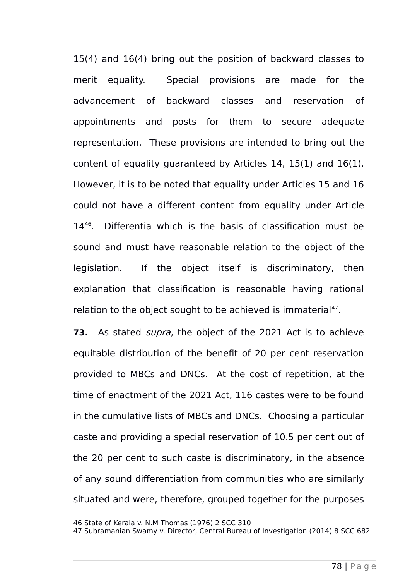15(4) and 16(4) bring out the position of backward classes to merit equality. Special provisions are made for the advancement of backward classes and reservation of appointments and posts for them to secure adequate representation. These provisions are intended to bring out the content of equality guaranteed by Articles 14, 15(1) and 16(1). However, it is to be noted that equality under Articles 15 and 16 could not have a different content from equality under Article 14[46](#page-77-0). Differentia which is the basis of classification must be sound and must have reasonable relation to the object of the legislation. If the object itself is discriminatory, then explanation that classification is reasonable having rational relation to the object sought to be achieved is immaterial $47$ .

**73.** As stated supra, the object of the 2021 Act is to achieve equitable distribution of the benefit of 20 per cent reservation provided to MBCs and DNCs. At the cost of repetition, at the time of enactment of the 2021 Act, 116 castes were to be found in the cumulative lists of MBCs and DNCs. Choosing a particular caste and providing a special reservation of 10.5 per cent out of the 20 per cent to such caste is discriminatory, in the absence of any sound differentiation from communities who are similarly situated and were, therefore, grouped together for the purposes

<span id="page-77-0"></span><sup>46</sup> State of Kerala v. N.M Thomas (1976) 2 SCC 310

<span id="page-77-1"></span><sup>47</sup> Subramanian Swamy v. Director, Central Bureau of Investigation (2014) 8 SCC 682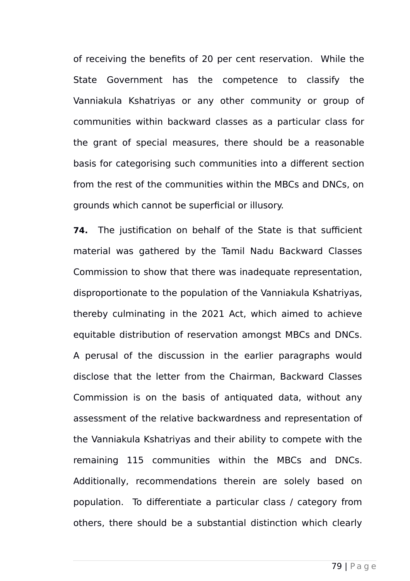of receiving the benefits of 20 per cent reservation. While the State Government has the competence to classify the Vanniakula Kshatriyas or any other community or group of communities within backward classes as a particular class for the grant of special measures, there should be a reasonable basis for categorising such communities into a different section from the rest of the communities within the MBCs and DNCs, on grounds which cannot be superficial or illusory.

**74.** The justification on behalf of the State is that sufficient material was gathered by the Tamil Nadu Backward Classes Commission to show that there was inadequate representation, disproportionate to the population of the Vanniakula Kshatriyas, thereby culminating in the 2021 Act, which aimed to achieve equitable distribution of reservation amongst MBCs and DNCs. A perusal of the discussion in the earlier paragraphs would disclose that the letter from the Chairman, Backward Classes Commission is on the basis of antiquated data, without any assessment of the relative backwardness and representation of the Vanniakula Kshatriyas and their ability to compete with the remaining 115 communities within the MBCs and DNCs. Additionally, recommendations therein are solely based on population. To differentiate a particular class / category from others, there should be a substantial distinction which clearly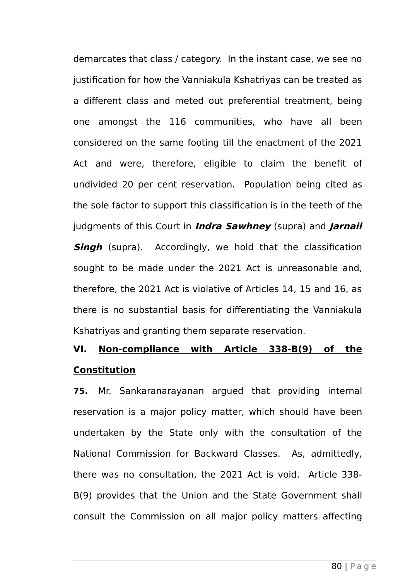demarcates that class / category. In the instant case, we see no justification for how the Vanniakula Kshatriyas can be treated as a different class and meted out preferential treatment, being one amongst the 116 communities, who have all been considered on the same footing till the enactment of the 2021 Act and were, therefore, eligible to claim the benefit of undivided 20 per cent reservation. Population being cited as the sole factor to support this classification is in the teeth of the judgments of this Court in **Indra Sawhney** (supra) and **Jarnail Singh** (supra). Accordingly, we hold that the classification sought to be made under the 2021 Act is unreasonable and, therefore, the 2021 Act is violative of Articles 14, 15 and 16, as there is no substantial basis for differentiating the Vanniakula Kshatriyas and granting them separate reservation.

## **VI. Non-compliance with Article 338-B(9) of the Constitution**

**75.** Mr. Sankaranarayanan argued that providing internal reservation is a major policy matter, which should have been undertaken by the State only with the consultation of the National Commission for Backward Classes. As, admittedly, there was no consultation, the 2021 Act is void. Article 338- B(9) provides that the Union and the State Government shall consult the Commission on all major policy matters affecting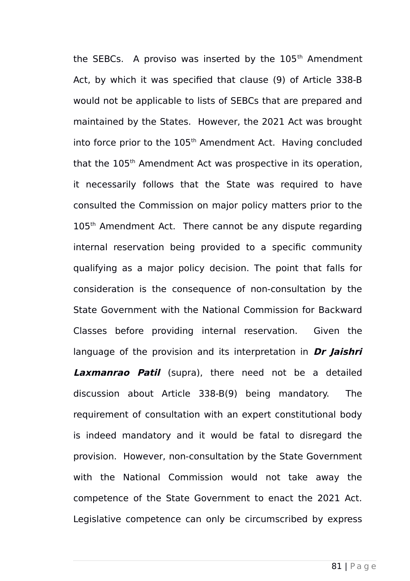the SEBCs. A proviso was inserted by the  $105<sup>th</sup>$  Amendment Act, by which it was specified that clause (9) of Article 338-B would not be applicable to lists of SEBCs that are prepared and maintained by the States. However, the 2021 Act was brought into force prior to the  $105<sup>th</sup>$  Amendment Act. Having concluded that the 105<sup>th</sup> Amendment Act was prospective in its operation, it necessarily follows that the State was required to have consulted the Commission on major policy matters prior to the 105<sup>th</sup> Amendment Act. There cannot be any dispute regarding internal reservation being provided to a specific community qualifying as a major policy decision. The point that falls for consideration is the consequence of non-consultation by the State Government with the National Commission for Backward Classes before providing internal reservation. Given the language of the provision and its interpretation in **Dr Jaishri Laxmanrao Patil** (supra), there need not be a detailed discussion about Article 338-B(9) being mandatory. The requirement of consultation with an expert constitutional body is indeed mandatory and it would be fatal to disregard the provision. However, non-consultation by the State Government with the National Commission would not take away the competence of the State Government to enact the 2021 Act. Legislative competence can only be circumscribed by express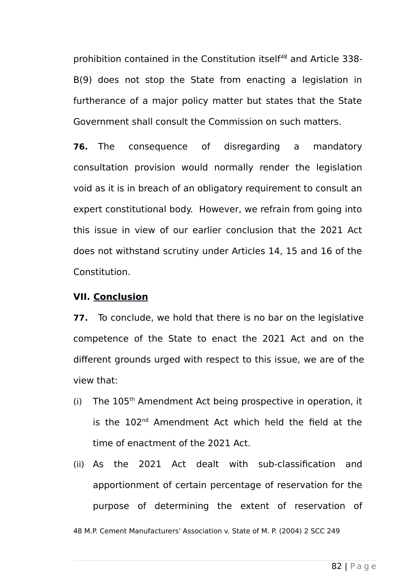prohibition contained in the Constitution itself<sup>[48](#page-81-0)</sup> and Article 338-B(9) does not stop the State from enacting a legislation in furtherance of a major policy matter but states that the State Government shall consult the Commission on such matters.

**76.** The consequence of disregarding a mandatory consultation provision would normally render the legislation void as it is in breach of an obligatory requirement to consult an expert constitutional body. However, we refrain from going into this issue in view of our earlier conclusion that the 2021 Act does not withstand scrutiny under Articles 14, 15 and 16 of the Constitution.

## **VII. Conclusion**

**77.** To conclude, we hold that there is no bar on the legislative competence of the State to enact the 2021 Act and on the different grounds urged with respect to this issue, we are of the view that:

- (i) The  $105<sup>th</sup>$  Amendment Act being prospective in operation, it is the 102<sup>nd</sup> Amendment Act which held the field at the time of enactment of the 2021 Act.
- (ii) As the 2021 Act dealt with sub-classification and apportionment of certain percentage of reservation for the purpose of determining the extent of reservation of

<span id="page-81-0"></span>48 M.P. Cement Manufacturers' Association v. State of M. P. (2004) 2 SCC 249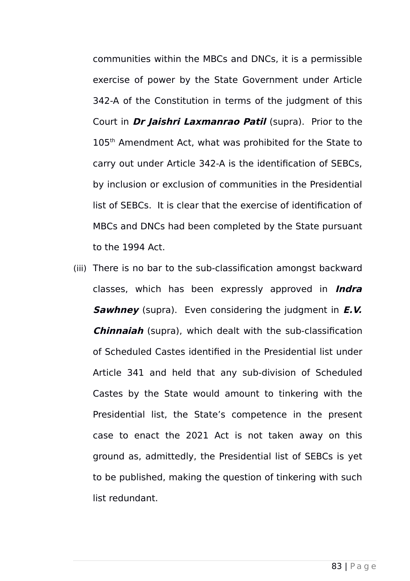communities within the MBCs and DNCs, it is a permissible exercise of power by the State Government under Article 342-A of the Constitution in terms of the judgment of this Court in **Dr Jaishri Laxmanrao Patil** (supra). Prior to the 105<sup>th</sup> Amendment Act, what was prohibited for the State to carry out under Article 342-A is the identification of SEBCs, by inclusion or exclusion of communities in the Presidential list of SEBCs. It is clear that the exercise of identification of MBCs and DNCs had been completed by the State pursuant to the 1994 Act.

(iii) There is no bar to the sub-classification amongst backward classes, which has been expressly approved in **Indra Sawhney** (supra). Even considering the judgment in **E.V. Chinnaiah** (supra), which dealt with the sub-classification of Scheduled Castes identified in the Presidential list under Article 341 and held that any sub-division of Scheduled Castes by the State would amount to tinkering with the Presidential list, the State's competence in the present case to enact the 2021 Act is not taken away on this ground as, admittedly, the Presidential list of SEBCs is yet to be published, making the question of tinkering with such list redundant.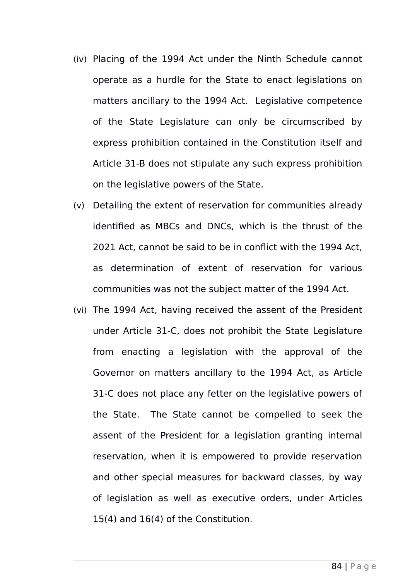- (iv) Placing of the 1994 Act under the Ninth Schedule cannot operate as a hurdle for the State to enact legislations on matters ancillary to the 1994 Act. Legislative competence of the State Legislature can only be circumscribed by express prohibition contained in the Constitution itself and Article 31-B does not stipulate any such express prohibition on the legislative powers of the State.
- (v) Detailing the extent of reservation for communities already identified as MBCs and DNCs, which is the thrust of the 2021 Act, cannot be said to be in conflict with the 1994 Act, as determination of extent of reservation for various communities was not the subject matter of the 1994 Act.
- (vi) The 1994 Act, having received the assent of the President under Article 31-C, does not prohibit the State Legislature from enacting a legislation with the approval of the Governor on matters ancillary to the 1994 Act, as Article 31-C does not place any fetter on the legislative powers of the State. The State cannot be compelled to seek the assent of the President for a legislation granting internal reservation, when it is empowered to provide reservation and other special measures for backward classes, by way of legislation as well as executive orders, under Articles 15(4) and 16(4) of the Constitution.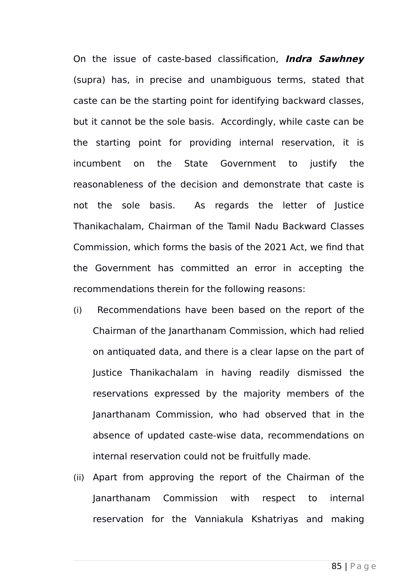On the issue of caste-based classification, **Indra Sawhney** (supra) has, in precise and unambiguous terms, stated that caste can be the starting point for identifying backward classes, but it cannot be the sole basis. Accordingly, while caste can be the starting point for providing internal reservation, it is incumbent on the State Government to justify the reasonableness of the decision and demonstrate that caste is not the sole basis. As regards the letter of Justice Thanikachalam, Chairman of the Tamil Nadu Backward Classes Commission, which forms the basis of the 2021 Act, we find that the Government has committed an error in accepting the recommendations therein for the following reasons:

- (i) Recommendations have been based on the report of the Chairman of the Janarthanam Commission, which had relied on antiquated data, and there is a clear lapse on the part of Justice Thanikachalam in having readily dismissed the reservations expressed by the majority members of the Janarthanam Commission, who had observed that in the absence of updated caste-wise data, recommendations on internal reservation could not be fruitfully made.
- (ii) Apart from approving the report of the Chairman of the Janarthanam Commission with respect to internal reservation for the Vanniakula Kshatriyas and making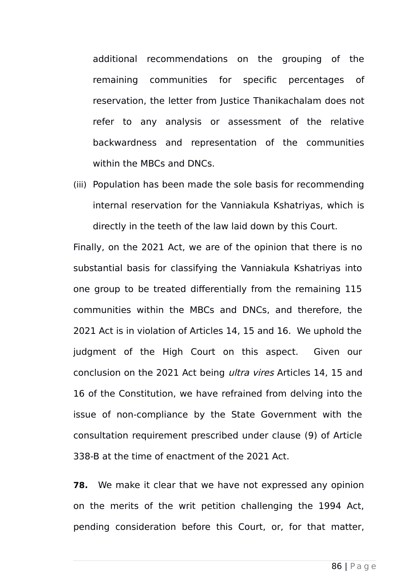additional recommendations on the grouping of the remaining communities for specific percentages of reservation, the letter from Justice Thanikachalam does not refer to any analysis or assessment of the relative backwardness and representation of the communities within the MBCs and DNCs.

(iii) Population has been made the sole basis for recommending internal reservation for the Vanniakula Kshatriyas, which is directly in the teeth of the law laid down by this Court.

Finally, on the 2021 Act, we are of the opinion that there is no substantial basis for classifying the Vanniakula Kshatriyas into one group to be treated differentially from the remaining 115 communities within the MBCs and DNCs, and therefore, the 2021 Act is in violation of Articles 14, 15 and 16. We uphold the judgment of the High Court on this aspect. Given our conclusion on the 2021 Act being ultra vires Articles 14, 15 and 16 of the Constitution, we have refrained from delving into the issue of non-compliance by the State Government with the consultation requirement prescribed under clause (9) of Article 338-B at the time of enactment of the 2021 Act.

**78.** We make it clear that we have not expressed any opinion on the merits of the writ petition challenging the 1994 Act, pending consideration before this Court, or, for that matter,